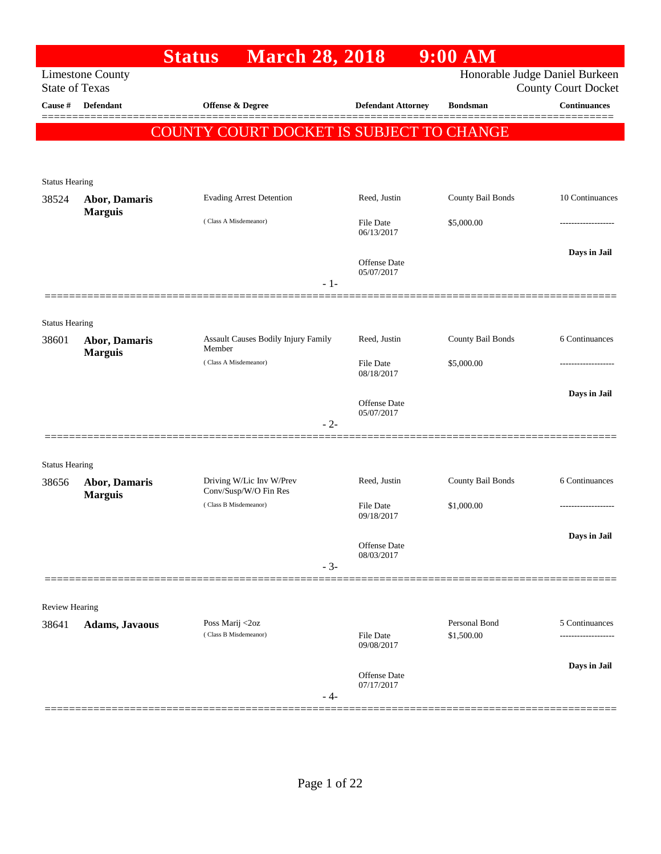|                                  |                         | <b>March 28, 2018</b><br><b>Status</b>   |                                | 9:00 AM                     |                                                   |
|----------------------------------|-------------------------|------------------------------------------|--------------------------------|-----------------------------|---------------------------------------------------|
|                                  | <b>Limestone County</b> |                                          |                                |                             | Honorable Judge Daniel Burkeen                    |
| <b>State of Texas</b><br>Cause # | Defendant               | <b>Offense &amp; Degree</b>              | <b>Defendant Attorney</b>      | <b>Bondsman</b>             | <b>County Court Docket</b><br><b>Continuances</b> |
|                                  |                         |                                          |                                |                             |                                                   |
|                                  |                         | COUNTY COURT DOCKET IS SUBJECT TO CHANGE |                                |                             |                                                   |
|                                  |                         |                                          |                                |                             |                                                   |
| <b>Status Hearing</b>            |                         |                                          |                                |                             |                                                   |
| 38524                            | <b>Abor, Damaris</b>    | <b>Evading Arrest Detention</b>          | Reed, Justin                   | County Bail Bonds           | 10 Continuances                                   |
|                                  | <b>Marguis</b>          | (Class A Misdemeanor)                    | <b>File Date</b>               | \$5,000.00                  |                                                   |
|                                  |                         |                                          | 06/13/2017                     |                             |                                                   |
|                                  |                         |                                          | Offense Date                   |                             | Days in Jail                                      |
|                                  |                         |                                          | 05/07/2017<br>$-1-$            |                             |                                                   |
|                                  |                         |                                          |                                |                             |                                                   |
| <b>Status Hearing</b>            |                         |                                          |                                |                             |                                                   |
| 38601                            | <b>Abor, Damaris</b>    | Assault Causes Bodily Injury Family      | Reed, Justin                   | County Bail Bonds           | 6 Continuances                                    |
|                                  | <b>Marguis</b>          | Member<br>(Class A Misdemeanor)          | <b>File Date</b>               | \$5,000.00                  |                                                   |
|                                  |                         |                                          | 08/18/2017                     |                             |                                                   |
|                                  |                         |                                          | Offense Date                   |                             | Days in Jail                                      |
|                                  |                         |                                          | 05/07/2017                     |                             |                                                   |
|                                  |                         |                                          | $-2-$                          |                             |                                                   |
|                                  |                         |                                          |                                |                             |                                                   |
| <b>Status Hearing</b><br>38656   | <b>Abor, Damaris</b>    | Driving W/Lic Inv W/Prev                 | Reed, Justin                   | County Bail Bonds           | 6 Continuances                                    |
|                                  | <b>Marguis</b>          | Conv/Susp/W/O Fin Res                    |                                |                             |                                                   |
|                                  |                         | (Class B Misdemeanor)                    | <b>File Date</b><br>09/18/2017 | \$1,000.00                  |                                                   |
|                                  |                         |                                          |                                |                             | Days in Jail                                      |
|                                  |                         |                                          | Offense Date<br>08/03/2017     |                             |                                                   |
|                                  |                         |                                          | $-3-$                          |                             |                                                   |
|                                  |                         |                                          |                                |                             |                                                   |
| <b>Review Hearing</b>            |                         |                                          |                                |                             |                                                   |
| 38641                            | <b>Adams, Javaous</b>   | Poss Marij <2oz<br>(Class B Misdemeanor) | <b>File Date</b>               | Personal Bond<br>\$1,500.00 | 5 Continuances<br>.                               |
|                                  |                         |                                          | 09/08/2017                     |                             |                                                   |
|                                  |                         |                                          | Offense Date                   |                             | Days in Jail                                      |
|                                  |                         |                                          | 07/17/2017<br>- 4-             |                             |                                                   |
|                                  |                         |                                          |                                |                             |                                                   |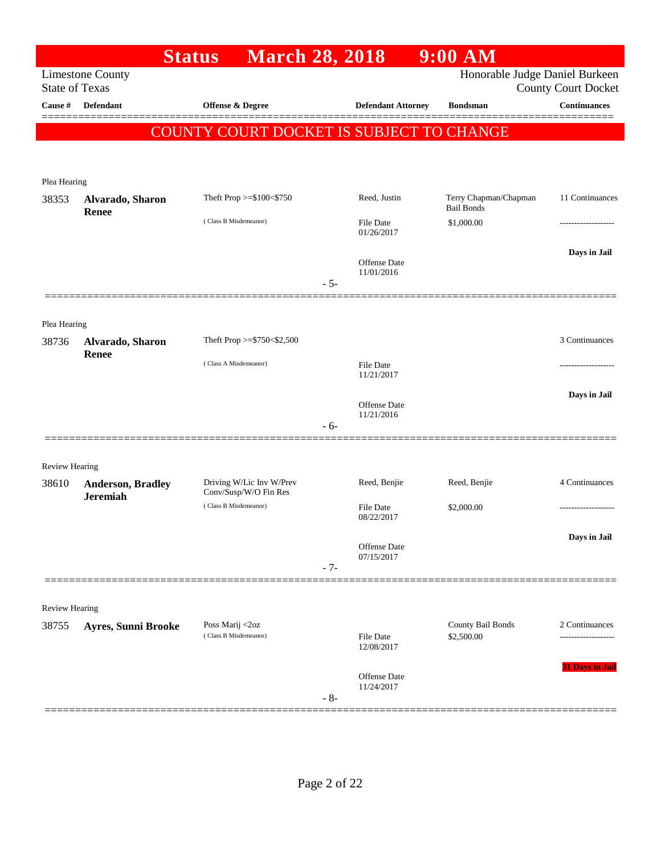|                       |                                             | <b>March 28, 2018</b><br><b>Status</b>            |       |                                   | $9:00$ AM                                  |                            |
|-----------------------|---------------------------------------------|---------------------------------------------------|-------|-----------------------------------|--------------------------------------------|----------------------------|
| <b>State of Texas</b> | <b>Limestone County</b>                     |                                                   |       |                                   | Honorable Judge Daniel Burkeen             | <b>County Court Docket</b> |
| Cause #               | <b>Defendant</b>                            | <b>Offense &amp; Degree</b>                       |       | <b>Defendant Attorney</b>         | <b>Bondsman</b>                            | <b>Continuances</b>        |
|                       |                                             |                                                   |       |                                   |                                            |                            |
|                       |                                             | COUNTY COURT DOCKET IS SUBJECT TO CHANGE          |       |                                   |                                            |                            |
|                       |                                             |                                                   |       |                                   |                                            |                            |
| Plea Hearing          |                                             |                                                   |       |                                   |                                            |                            |
| 38353                 | Alvarado, Sharon<br>Renee                   | Theft Prop >=\$100<\$750                          |       | Reed, Justin                      | Terry Chapman/Chapman<br><b>Bail Bonds</b> | 11 Continuances            |
|                       |                                             | (Class B Misdemeanor)                             |       | <b>File Date</b><br>01/26/2017    | \$1,000.00                                 |                            |
|                       |                                             |                                                   |       |                                   |                                            | Days in Jail               |
|                       |                                             |                                                   |       | <b>Offense Date</b><br>11/01/2016 |                                            |                            |
|                       |                                             |                                                   | $-5-$ |                                   |                                            |                            |
|                       |                                             |                                                   |       |                                   |                                            |                            |
| Plea Hearing          |                                             |                                                   |       |                                   |                                            |                            |
| 38736                 | Alvarado, Sharon<br><b>Renee</b>            | Theft Prop >=\$750<\$2,500                        |       |                                   |                                            | 3 Continuances             |
|                       |                                             | (Class A Misdemeanor)                             |       | <b>File Date</b><br>11/21/2017    |                                            |                            |
|                       |                                             |                                                   |       |                                   |                                            | Days in Jail               |
|                       |                                             |                                                   |       | <b>Offense Date</b><br>11/21/2016 |                                            |                            |
|                       |                                             |                                                   | $-6-$ |                                   |                                            |                            |
|                       |                                             |                                                   |       |                                   |                                            |                            |
| Review Hearing        |                                             |                                                   |       |                                   |                                            |                            |
| 38610                 | <b>Anderson, Bradley</b><br><b>Jeremiah</b> | Driving W/Lic Inv W/Prev<br>Conv/Susp/W/O Fin Res |       | Reed, Benjie                      | Reed, Benjie                               | 4 Continuances             |
|                       |                                             | (Class B Misdemeanor)                             |       | <b>File Date</b><br>08/22/2017    | \$2,000.00                                 |                            |
|                       |                                             |                                                   |       |                                   |                                            | Days in Jail               |
|                       |                                             |                                                   |       | Offense Date<br>07/15/2017        |                                            |                            |
|                       |                                             |                                                   | $-7-$ |                                   |                                            |                            |
|                       |                                             |                                                   |       |                                   |                                            |                            |
| <b>Review Hearing</b> |                                             |                                                   |       |                                   |                                            |                            |
| 38755                 | <b>Ayres, Sunni Brooke</b>                  | Poss Marij <2oz<br>(Class B Misdemeanor)          |       | <b>File Date</b>                  | County Bail Bonds<br>\$2,500.00            | 2 Continuances             |
|                       |                                             |                                                   |       | 12/08/2017                        |                                            |                            |
|                       |                                             |                                                   |       | Offense Date                      |                                            | 31 Days in Jail            |
|                       |                                             |                                                   | $-8-$ | 11/24/2017                        |                                            |                            |
|                       |                                             |                                                   |       |                                   |                                            |                            |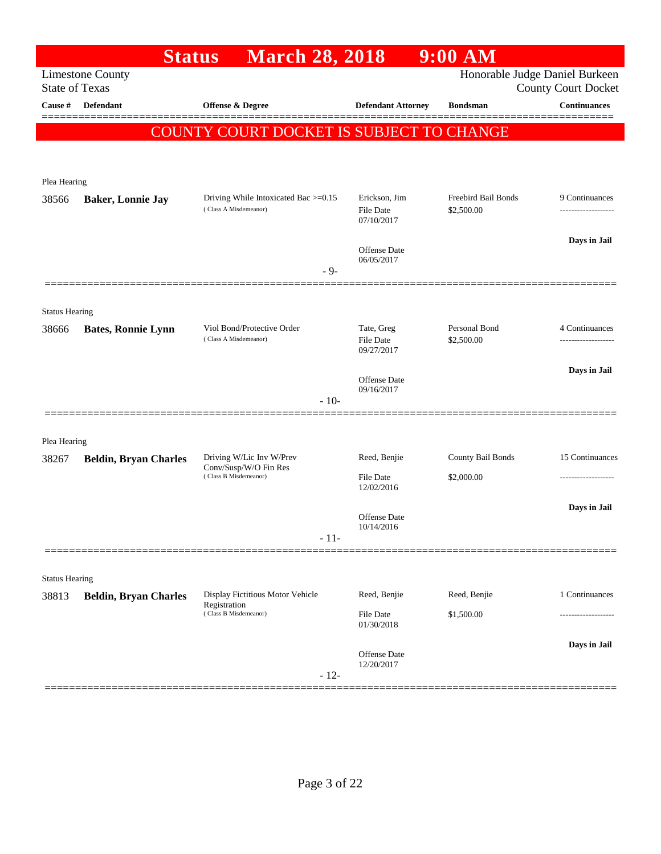|                       | <b>Status</b>                | <b>March 28, 2018</b>                             |                                   | 9:00 AM             |                                                   |
|-----------------------|------------------------------|---------------------------------------------------|-----------------------------------|---------------------|---------------------------------------------------|
| <b>State of Texas</b> | <b>Limestone County</b>      |                                                   |                                   |                     | Honorable Judge Daniel Burkeen                    |
| Cause #               | <b>Defendant</b>             | Offense & Degree                                  | <b>Defendant Attorney</b>         | <b>Bondsman</b>     | <b>County Court Docket</b><br><b>Continuances</b> |
|                       |                              |                                                   |                                   |                     |                                                   |
|                       |                              | COUNTY COURT DOCKET IS SUBJECT TO CHANGE          |                                   |                     |                                                   |
|                       |                              |                                                   |                                   |                     |                                                   |
| Plea Hearing          |                              |                                                   |                                   |                     |                                                   |
| 38566                 | <b>Baker, Lonnie Jay</b>     | Driving While Intoxicated Bac >=0.15              | Erickson, Jim                     | Freebird Bail Bonds | 9 Continuances                                    |
|                       |                              | (Class A Misdemeanor)                             | <b>File Date</b><br>07/10/2017    | \$2,500.00          |                                                   |
|                       |                              |                                                   |                                   |                     | Days in Jail                                      |
|                       |                              |                                                   | <b>Offense Date</b><br>06/05/2017 |                     |                                                   |
|                       |                              | - 9-                                              |                                   |                     |                                                   |
|                       |                              |                                                   |                                   |                     |                                                   |
| <b>Status Hearing</b> |                              | Viol Bond/Protective Order                        | Tate, Greg                        | Personal Bond       | 4 Continuances                                    |
| 38666                 | <b>Bates, Ronnie Lynn</b>    | (Class A Misdemeanor)                             | <b>File Date</b>                  | \$2,500.00          | .                                                 |
|                       |                              |                                                   | 09/27/2017                        |                     |                                                   |
|                       |                              |                                                   | <b>Offense Date</b>               |                     | Days in Jail                                      |
|                       |                              | $-10-$                                            | 09/16/2017                        |                     |                                                   |
|                       |                              |                                                   |                                   |                     |                                                   |
| Plea Hearing          |                              |                                                   |                                   |                     |                                                   |
| 38267                 | <b>Beldin, Bryan Charles</b> | Driving W/Lic Inv W/Prev<br>Conv/Susp/W/O Fin Res | Reed, Benjie                      | County Bail Bonds   | 15 Continuances                                   |
|                       |                              | (Class B Misdemeanor)                             | <b>File Date</b><br>12/02/2016    | \$2,000.00          |                                                   |
|                       |                              |                                                   |                                   |                     | Days in Jail                                      |
|                       |                              |                                                   | Offense Date<br>10/14/2016        |                     |                                                   |
|                       |                              | $-11-$                                            |                                   |                     |                                                   |
|                       |                              |                                                   |                                   |                     |                                                   |
| <b>Status Hearing</b> |                              |                                                   |                                   |                     |                                                   |
| 38813                 | <b>Beldin, Bryan Charles</b> | Display Fictitious Motor Vehicle<br>Registration  | Reed, Benjie                      | Reed, Benjie        | 1 Continuances                                    |
|                       |                              | (Class B Misdemeanor)                             | <b>File Date</b><br>01/30/2018    | \$1,500.00          |                                                   |
|                       |                              |                                                   |                                   |                     | Days in Jail                                      |
|                       |                              |                                                   | Offense Date<br>12/20/2017        |                     |                                                   |
|                       |                              | $-12-$                                            |                                   |                     |                                                   |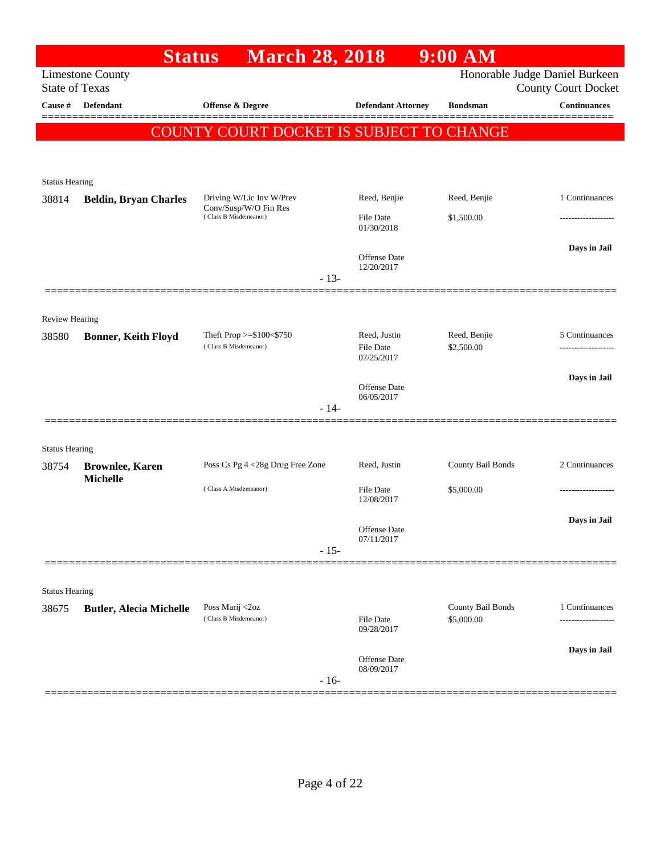| Honorable Judge Daniel Burkeen<br><b>Limestone County</b><br><b>State of Texas</b><br><b>County Court Docket</b><br>Defendant<br>Offense & Degree<br>Cause #<br><b>Defendant Attorney</b><br><b>Bondsman</b><br>COUNTY COURT DOCKET IS SUBJECT TO CHANGE<br><b>Status Hearing</b><br>Reed, Benjie<br>Reed, Benjie<br>38814<br><b>Beldin, Bryan Charles</b><br>Driving W/Lic Inv W/Prev<br>Conv/Susp/W/O Fin Res<br>(Class B Misdemeanor)<br><b>File Date</b><br>\$1,500.00<br>01/30/2018<br>Offense Date<br>12/20/2017<br>$-13-$<br><b>Review Hearing</b><br>Theft Prop $>=$ \$100 $<$ \$750<br>Reed, Justin<br>Reed, Benjie<br>38580<br><b>Bonner, Keith Floyd</b><br>(Class B Misdemeanor)<br>\$2,500.00<br><b>File Date</b><br>07/25/2017<br>Offense Date<br>06/05/2017<br>$-14-$<br><b>Status Hearing</b><br>County Bail Bonds<br>Poss Cs Pg 4 <28g Drug Free Zone<br>Reed, Justin<br>38754<br><b>Brownlee, Karen</b><br><b>Michelle</b><br>(Class A Misdemeanor)<br><b>File Date</b><br>\$5,000.00<br>12/08/2017<br>Offense Date<br>07/11/2017<br>$-15-$<br><b>Status Hearing</b><br>County Bail Bonds<br>Poss Marij <2oz<br>38675<br><b>Butler, Alecia Michelle</b> | <b>Status</b> | <b>March 28, 2018</b> |           | 9:00 AM    |                     |
|---------------------------------------------------------------------------------------------------------------------------------------------------------------------------------------------------------------------------------------------------------------------------------------------------------------------------------------------------------------------------------------------------------------------------------------------------------------------------------------------------------------------------------------------------------------------------------------------------------------------------------------------------------------------------------------------------------------------------------------------------------------------------------------------------------------------------------------------------------------------------------------------------------------------------------------------------------------------------------------------------------------------------------------------------------------------------------------------------------------------------------------------------------------------------|---------------|-----------------------|-----------|------------|---------------------|
|                                                                                                                                                                                                                                                                                                                                                                                                                                                                                                                                                                                                                                                                                                                                                                                                                                                                                                                                                                                                                                                                                                                                                                           |               |                       |           |            |                     |
|                                                                                                                                                                                                                                                                                                                                                                                                                                                                                                                                                                                                                                                                                                                                                                                                                                                                                                                                                                                                                                                                                                                                                                           |               |                       |           |            | <b>Continuances</b> |
|                                                                                                                                                                                                                                                                                                                                                                                                                                                                                                                                                                                                                                                                                                                                                                                                                                                                                                                                                                                                                                                                                                                                                                           |               |                       |           |            |                     |
|                                                                                                                                                                                                                                                                                                                                                                                                                                                                                                                                                                                                                                                                                                                                                                                                                                                                                                                                                                                                                                                                                                                                                                           |               |                       |           |            |                     |
|                                                                                                                                                                                                                                                                                                                                                                                                                                                                                                                                                                                                                                                                                                                                                                                                                                                                                                                                                                                                                                                                                                                                                                           |               |                       |           |            |                     |
|                                                                                                                                                                                                                                                                                                                                                                                                                                                                                                                                                                                                                                                                                                                                                                                                                                                                                                                                                                                                                                                                                                                                                                           |               |                       |           |            |                     |
|                                                                                                                                                                                                                                                                                                                                                                                                                                                                                                                                                                                                                                                                                                                                                                                                                                                                                                                                                                                                                                                                                                                                                                           |               |                       |           |            | 1 Continuances      |
|                                                                                                                                                                                                                                                                                                                                                                                                                                                                                                                                                                                                                                                                                                                                                                                                                                                                                                                                                                                                                                                                                                                                                                           |               |                       |           |            |                     |
|                                                                                                                                                                                                                                                                                                                                                                                                                                                                                                                                                                                                                                                                                                                                                                                                                                                                                                                                                                                                                                                                                                                                                                           |               |                       |           |            |                     |
|                                                                                                                                                                                                                                                                                                                                                                                                                                                                                                                                                                                                                                                                                                                                                                                                                                                                                                                                                                                                                                                                                                                                                                           |               |                       |           |            | Days in Jail        |
|                                                                                                                                                                                                                                                                                                                                                                                                                                                                                                                                                                                                                                                                                                                                                                                                                                                                                                                                                                                                                                                                                                                                                                           |               |                       |           |            |                     |
|                                                                                                                                                                                                                                                                                                                                                                                                                                                                                                                                                                                                                                                                                                                                                                                                                                                                                                                                                                                                                                                                                                                                                                           |               |                       |           |            |                     |
|                                                                                                                                                                                                                                                                                                                                                                                                                                                                                                                                                                                                                                                                                                                                                                                                                                                                                                                                                                                                                                                                                                                                                                           |               |                       |           |            |                     |
|                                                                                                                                                                                                                                                                                                                                                                                                                                                                                                                                                                                                                                                                                                                                                                                                                                                                                                                                                                                                                                                                                                                                                                           |               |                       |           |            | 5 Continuances      |
|                                                                                                                                                                                                                                                                                                                                                                                                                                                                                                                                                                                                                                                                                                                                                                                                                                                                                                                                                                                                                                                                                                                                                                           |               |                       |           |            |                     |
|                                                                                                                                                                                                                                                                                                                                                                                                                                                                                                                                                                                                                                                                                                                                                                                                                                                                                                                                                                                                                                                                                                                                                                           |               |                       |           |            |                     |
|                                                                                                                                                                                                                                                                                                                                                                                                                                                                                                                                                                                                                                                                                                                                                                                                                                                                                                                                                                                                                                                                                                                                                                           |               |                       |           |            | Days in Jail        |
|                                                                                                                                                                                                                                                                                                                                                                                                                                                                                                                                                                                                                                                                                                                                                                                                                                                                                                                                                                                                                                                                                                                                                                           |               |                       |           |            |                     |
|                                                                                                                                                                                                                                                                                                                                                                                                                                                                                                                                                                                                                                                                                                                                                                                                                                                                                                                                                                                                                                                                                                                                                                           |               |                       |           |            |                     |
|                                                                                                                                                                                                                                                                                                                                                                                                                                                                                                                                                                                                                                                                                                                                                                                                                                                                                                                                                                                                                                                                                                                                                                           |               |                       |           |            |                     |
|                                                                                                                                                                                                                                                                                                                                                                                                                                                                                                                                                                                                                                                                                                                                                                                                                                                                                                                                                                                                                                                                                                                                                                           |               |                       |           |            | 2 Continuances      |
|                                                                                                                                                                                                                                                                                                                                                                                                                                                                                                                                                                                                                                                                                                                                                                                                                                                                                                                                                                                                                                                                                                                                                                           |               |                       |           |            |                     |
|                                                                                                                                                                                                                                                                                                                                                                                                                                                                                                                                                                                                                                                                                                                                                                                                                                                                                                                                                                                                                                                                                                                                                                           |               |                       |           |            |                     |
|                                                                                                                                                                                                                                                                                                                                                                                                                                                                                                                                                                                                                                                                                                                                                                                                                                                                                                                                                                                                                                                                                                                                                                           |               |                       |           |            | Days in Jail        |
|                                                                                                                                                                                                                                                                                                                                                                                                                                                                                                                                                                                                                                                                                                                                                                                                                                                                                                                                                                                                                                                                                                                                                                           |               |                       |           |            |                     |
|                                                                                                                                                                                                                                                                                                                                                                                                                                                                                                                                                                                                                                                                                                                                                                                                                                                                                                                                                                                                                                                                                                                                                                           |               |                       |           |            |                     |
|                                                                                                                                                                                                                                                                                                                                                                                                                                                                                                                                                                                                                                                                                                                                                                                                                                                                                                                                                                                                                                                                                                                                                                           |               |                       |           |            |                     |
|                                                                                                                                                                                                                                                                                                                                                                                                                                                                                                                                                                                                                                                                                                                                                                                                                                                                                                                                                                                                                                                                                                                                                                           |               |                       |           |            |                     |
|                                                                                                                                                                                                                                                                                                                                                                                                                                                                                                                                                                                                                                                                                                                                                                                                                                                                                                                                                                                                                                                                                                                                                                           |               | (Class B Misdemeanor) | File Date | \$5,000.00 | 1 Continuances      |
| 09/28/2017                                                                                                                                                                                                                                                                                                                                                                                                                                                                                                                                                                                                                                                                                                                                                                                                                                                                                                                                                                                                                                                                                                                                                                |               |                       |           |            |                     |
| Offense Date                                                                                                                                                                                                                                                                                                                                                                                                                                                                                                                                                                                                                                                                                                                                                                                                                                                                                                                                                                                                                                                                                                                                                              |               |                       |           |            | Days in Jail        |
| 08/09/2017<br>$-16-$                                                                                                                                                                                                                                                                                                                                                                                                                                                                                                                                                                                                                                                                                                                                                                                                                                                                                                                                                                                                                                                                                                                                                      |               |                       |           |            |                     |
|                                                                                                                                                                                                                                                                                                                                                                                                                                                                                                                                                                                                                                                                                                                                                                                                                                                                                                                                                                                                                                                                                                                                                                           |               |                       |           |            |                     |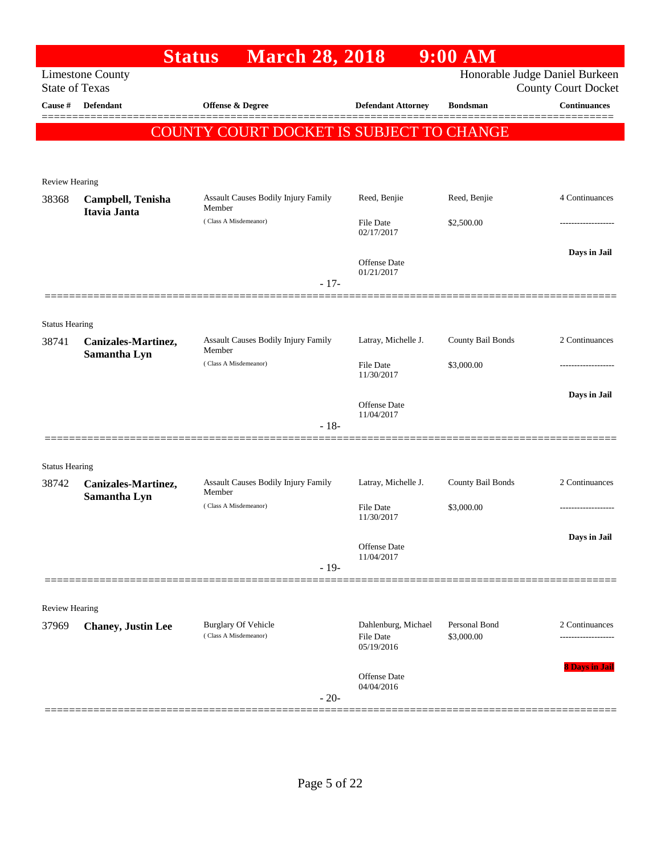|                                |                                   | <b>March 28, 2018</b><br><b>Status</b>              |                                   | 9:00 AM                     |                                                   |
|--------------------------------|-----------------------------------|-----------------------------------------------------|-----------------------------------|-----------------------------|---------------------------------------------------|
| <b>State of Texas</b>          | <b>Limestone County</b>           |                                                     |                                   |                             | Honorable Judge Daniel Burkeen                    |
| Cause #                        | <b>Defendant</b>                  | Offense & Degree                                    | <b>Defendant Attorney</b>         | <b>Bondsman</b>             | <b>County Court Docket</b><br><b>Continuances</b> |
|                                |                                   | COUNTY COURT DOCKET IS SUBJECT TO CHANGE            |                                   |                             |                                                   |
|                                |                                   |                                                     |                                   |                             |                                                   |
|                                |                                   |                                                     |                                   |                             |                                                   |
| Review Hearing                 |                                   |                                                     |                                   |                             |                                                   |
| 38368                          | Campbell, Tenisha<br>Itavia Janta | Assault Causes Bodily Injury Family<br>Member       | Reed, Benjie                      | Reed, Benjie                | 4 Continuances                                    |
|                                |                                   | (Class A Misdemeanor)                               | <b>File Date</b><br>02/17/2017    | \$2,500.00                  |                                                   |
|                                |                                   |                                                     |                                   |                             | Days in Jail                                      |
|                                |                                   |                                                     | <b>Offense Date</b><br>01/21/2017 |                             |                                                   |
|                                |                                   | $-17-$                                              |                                   |                             |                                                   |
|                                |                                   |                                                     |                                   |                             |                                                   |
| <b>Status Hearing</b><br>38741 | Canizales-Martinez,               | Assault Causes Bodily Injury Family                 | Latray, Michelle J.               | County Bail Bonds           | 2 Continuances                                    |
|                                | Samantha Lyn                      | Member<br>(Class A Misdemeanor)                     | <b>File Date</b>                  | \$3,000.00                  |                                                   |
|                                |                                   |                                                     | 11/30/2017                        |                             |                                                   |
|                                |                                   |                                                     | Offense Date                      |                             | Days in Jail                                      |
|                                |                                   | $-18-$                                              | 11/04/2017                        |                             |                                                   |
|                                |                                   |                                                     |                                   |                             |                                                   |
| <b>Status Hearing</b>          |                                   |                                                     |                                   |                             |                                                   |
| 38742                          | Canizales-Martinez,               | Assault Causes Bodily Injury Family                 | Latray, Michelle J.               | County Bail Bonds           | 2 Continuances                                    |
|                                | Samantha Lyn                      | Member<br>(Class A Misdemeanor)                     | <b>File Date</b>                  | \$3,000.00                  |                                                   |
|                                |                                   |                                                     | 11/30/2017                        |                             |                                                   |
|                                |                                   |                                                     | Offense Date                      |                             | Days in Jail                                      |
|                                |                                   | $-19-$                                              | 11/04/2017                        |                             |                                                   |
|                                |                                   |                                                     |                                   |                             |                                                   |
| Review Hearing                 |                                   |                                                     |                                   |                             |                                                   |
| 37969                          | <b>Chaney, Justin Lee</b>         | <b>Burglary Of Vehicle</b><br>(Class A Misdemeanor) | Dahlenburg, Michael<br>File Date  | Personal Bond<br>\$3,000.00 | 2 Continuances                                    |
|                                |                                   |                                                     | 05/19/2016                        |                             |                                                   |
|                                |                                   |                                                     | <b>Offense Date</b>               |                             | <b>8 Days in Jail</b>                             |
|                                |                                   | $-20-$                                              | 04/04/2016                        |                             |                                                   |
|                                |                                   |                                                     |                                   |                             |                                                   |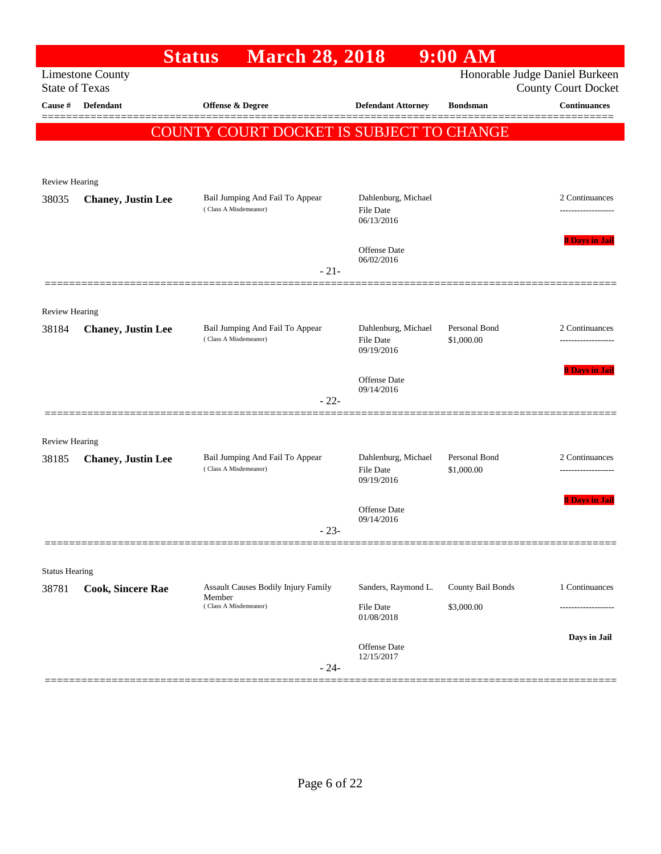|                       |                           | <b>March 28, 2018</b><br><b>Status</b>                                 |                                                       | 9:00 AM                         |                                                              |
|-----------------------|---------------------------|------------------------------------------------------------------------|-------------------------------------------------------|---------------------------------|--------------------------------------------------------------|
| <b>State of Texas</b> | <b>Limestone County</b>   |                                                                        |                                                       |                                 | Honorable Judge Daniel Burkeen<br><b>County Court Docket</b> |
| Cause #               | <b>Defendant</b>          | Offense & Degree                                                       | <b>Defendant Attorney</b>                             | <b>Bondsman</b>                 | <b>Continuances</b>                                          |
|                       |                           | COUNTY COURT DOCKET IS SUBJECT TO CHANGE                               |                                                       |                                 | ======                                                       |
|                       |                           |                                                                        |                                                       |                                 |                                                              |
| Review Hearing        |                           |                                                                        |                                                       |                                 |                                                              |
| 38035                 | <b>Chaney, Justin Lee</b> | Bail Jumping And Fail To Appear<br>(Class A Misdemeanor)               | Dahlenburg, Michael<br><b>File Date</b><br>06/13/2016 |                                 | 2 Continuances                                               |
|                       |                           | $-21-$                                                                 | <b>Offense Date</b><br>06/02/2016                     |                                 | <b>8 Days in Jail</b>                                        |
|                       |                           |                                                                        |                                                       |                                 |                                                              |
| <b>Review Hearing</b> |                           |                                                                        |                                                       |                                 |                                                              |
| 38184                 | <b>Chaney, Justin Lee</b> | Bail Jumping And Fail To Appear<br>(Class A Misdemeanor)               | Dahlenburg, Michael<br><b>File Date</b><br>09/19/2016 | Personal Bond<br>\$1,000.00     | 2 Continuances<br>.                                          |
|                       |                           | $-22-$                                                                 | <b>Offense Date</b><br>09/14/2016                     |                                 | <b>8 Days in Jail</b>                                        |
| <b>Review Hearing</b> |                           |                                                                        |                                                       |                                 |                                                              |
| 38185                 | <b>Chaney, Justin Lee</b> | Bail Jumping And Fail To Appear<br>(Class A Misdemeanor)               | Dahlenburg, Michael<br><b>File Date</b><br>09/19/2016 | Personal Bond<br>\$1,000.00     | 2 Continuances<br>-------------------                        |
|                       |                           | $-23-$                                                                 | Offense Date<br>09/14/2016                            |                                 | <b>8 Days in Jai</b>                                         |
|                       |                           |                                                                        |                                                       |                                 |                                                              |
| <b>Status Hearing</b> |                           |                                                                        |                                                       |                                 |                                                              |
| 38781                 | <b>Cook, Sincere Rae</b>  | Assault Causes Bodily Injury Family<br>Member<br>(Class A Misdemeanor) | Sanders, Raymond L.<br>File Date<br>01/08/2018        | County Bail Bonds<br>\$3,000.00 | 1 Continuances                                               |
|                       |                           | $-24-$                                                                 | Offense Date<br>12/15/2017                            |                                 | Days in Jail                                                 |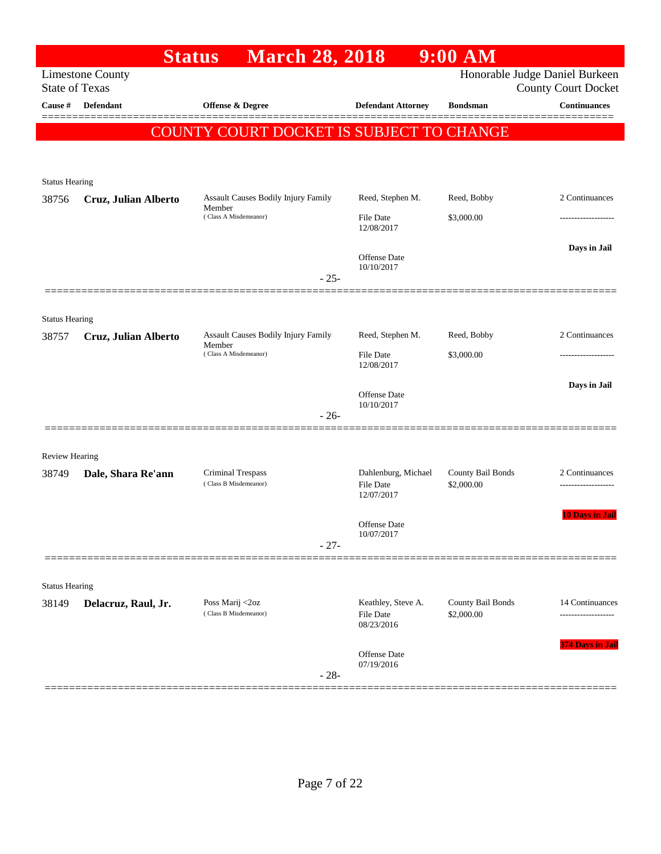|                       |                         | <b>March 28, 2018</b><br><b>Status</b>        |                                                       | $9:00$ AM                       |                                                              |
|-----------------------|-------------------------|-----------------------------------------------|-------------------------------------------------------|---------------------------------|--------------------------------------------------------------|
| <b>State of Texas</b> | <b>Limestone County</b> |                                               |                                                       |                                 | Honorable Judge Daniel Burkeen<br><b>County Court Docket</b> |
| Cause #               | <b>Defendant</b>        | <b>Offense &amp; Degree</b>                   | <b>Defendant Attorney</b>                             | <b>Bondsman</b>                 | <b>Continuances</b>                                          |
|                       |                         | COUNTY COURT DOCKET IS SUBJECT TO CHANGE      |                                                       |                                 |                                                              |
|                       |                         |                                               |                                                       |                                 |                                                              |
| <b>Status Hearing</b> |                         |                                               |                                                       |                                 |                                                              |
| 38756                 | Cruz, Julian Alberto    | Assault Causes Bodily Injury Family<br>Member | Reed, Stephen M.                                      | Reed, Bobby                     | 2 Continuances                                               |
|                       |                         | (Class A Misdemeanor)                         | <b>File Date</b><br>12/08/2017                        | \$3,000.00                      | ---------------                                              |
|                       |                         |                                               | <b>Offense Date</b><br>10/10/2017                     |                                 | Days in Jail                                                 |
|                       |                         | $-25-$                                        |                                                       |                                 |                                                              |
| <b>Status Hearing</b> |                         |                                               |                                                       |                                 |                                                              |
| 38757                 | Cruz, Julian Alberto    | Assault Causes Bodily Injury Family           | Reed, Stephen M.                                      | Reed, Bobby                     | 2 Continuances                                               |
|                       |                         | Member<br>(Class A Misdemeanor)               | <b>File Date</b><br>12/08/2017                        | \$3,000.00                      |                                                              |
|                       |                         |                                               |                                                       |                                 | Days in Jail                                                 |
|                       |                         | $-26-$                                        | <b>Offense Date</b><br>10/10/2017                     |                                 |                                                              |
|                       |                         |                                               |                                                       |                                 |                                                              |
| <b>Review Hearing</b> |                         |                                               |                                                       |                                 |                                                              |
| 38749                 | Dale, Shara Re'ann      | Criminal Trespass<br>(Class B Misdemeanor)    | Dahlenburg, Michael<br><b>File Date</b><br>12/07/2017 | County Bail Bonds<br>\$2,000.00 | 2 Continuances<br>-------------------                        |
|                       |                         |                                               | <b>Offense</b> Date                                   |                                 | <b>10 Days in Jail</b>                                       |
|                       |                         | $-27-$                                        | 10/07/2017                                            |                                 |                                                              |
|                       |                         |                                               |                                                       |                                 |                                                              |
| <b>Status Hearing</b> |                         |                                               |                                                       |                                 |                                                              |
| 38149                 | Delacruz, Raul, Jr.     | Poss Marij <2oz<br>(Class B Misdemeanor)      | Keathley, Steve A.<br>File Date<br>08/23/2016         | County Bail Bonds<br>\$2,000.00 | 14 Continuances                                              |
|                       |                         | $-28-$                                        | Offense Date<br>07/19/2016                            |                                 | <b>374 Days in Jail</b>                                      |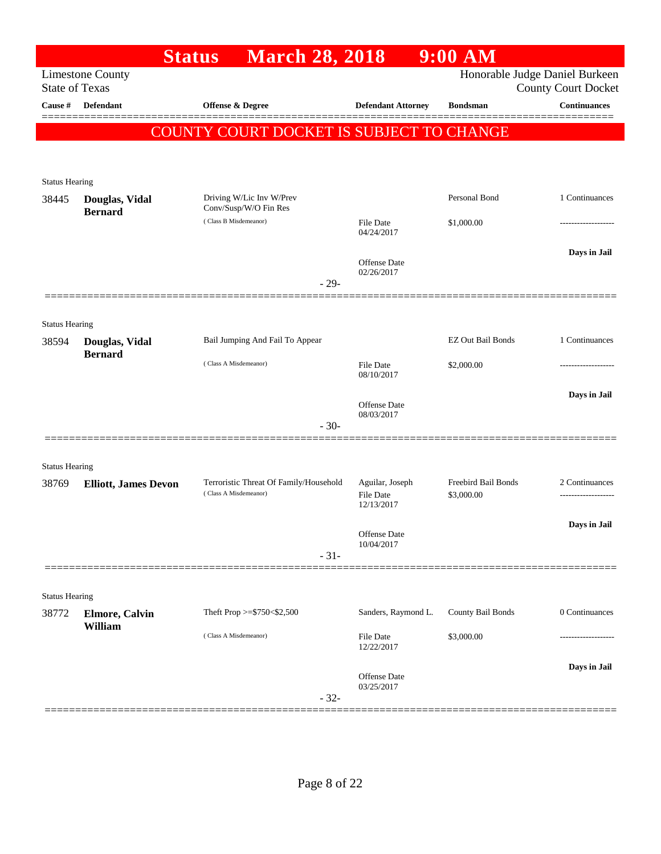|                                         |                                  | <b>Status</b>         | <b>March 28, 2018</b>                  |                                     | $9:00$ AM                                       |                                                   |
|-----------------------------------------|----------------------------------|-----------------------|----------------------------------------|-------------------------------------|-------------------------------------------------|---------------------------------------------------|
|                                         | <b>Limestone County</b>          |                       |                                        |                                     |                                                 | Honorable Judge Daniel Burkeen                    |
| <b>State of Texas</b><br><b>Cause</b> # | <b>Defendant</b>                 | Offense & Degree      |                                        | <b>Defendant Attorney</b>           | <b>Bondsman</b>                                 | <b>County Court Docket</b><br><b>Continuances</b> |
|                                         |                                  |                       |                                        |                                     |                                                 |                                                   |
|                                         |                                  |                       |                                        |                                     | <b>COUNTY COURT DOCKET IS SUBJECT TO CHANGE</b> |                                                   |
|                                         |                                  |                       |                                        |                                     |                                                 |                                                   |
| <b>Status Hearing</b>                   |                                  |                       |                                        |                                     |                                                 |                                                   |
| 38445                                   | Douglas, Vidal                   | Conv/Susp/W/O Fin Res | Driving W/Lic Inv W/Prev               |                                     | Personal Bond                                   | 1 Continuances                                    |
|                                         | <b>Bernard</b>                   | (Class B Misdemeanor) |                                        | <b>File Date</b>                    | \$1,000.00                                      |                                                   |
|                                         |                                  |                       |                                        | 04/24/2017                          |                                                 |                                                   |
|                                         |                                  |                       |                                        | Offense Date                        |                                                 | Days in Jail                                      |
|                                         |                                  |                       | $-29-$                                 | 02/26/2017                          |                                                 |                                                   |
|                                         |                                  |                       |                                        |                                     |                                                 |                                                   |
| <b>Status Hearing</b>                   |                                  |                       |                                        |                                     |                                                 |                                                   |
| 38594                                   | Douglas, Vidal<br><b>Bernard</b> |                       | Bail Jumping And Fail To Appear        |                                     | <b>EZ Out Bail Bonds</b>                        | 1 Continuances                                    |
|                                         |                                  | (Class A Misdemeanor) |                                        | <b>File Date</b><br>08/10/2017      | \$2,000.00                                      |                                                   |
|                                         |                                  |                       |                                        |                                     |                                                 | Days in Jail                                      |
|                                         |                                  |                       |                                        | Offense Date<br>08/03/2017          |                                                 |                                                   |
|                                         |                                  |                       | $-30-$                                 |                                     |                                                 |                                                   |
|                                         |                                  |                       |                                        |                                     |                                                 |                                                   |
| <b>Status Hearing</b>                   |                                  |                       |                                        |                                     |                                                 |                                                   |
| 38769                                   | <b>Elliott, James Devon</b>      | (Class A Misdemeanor) | Terroristic Threat Of Family/Household | Aguilar, Joseph<br><b>File Date</b> | Freebird Bail Bonds<br>\$3,000.00               | 2 Continuances                                    |
|                                         |                                  |                       |                                        | 12/13/2017                          |                                                 |                                                   |
|                                         |                                  |                       |                                        | Offense Date                        |                                                 | Days in Jail                                      |
|                                         |                                  |                       | $-31-$                                 | 10/04/2017                          |                                                 |                                                   |
|                                         |                                  |                       |                                        |                                     |                                                 |                                                   |
| <b>Status Hearing</b>                   |                                  |                       |                                        |                                     |                                                 |                                                   |
| 38772                                   | <b>Elmore, Calvin</b>            |                       | Theft Prop $>=$ \$750 < \$2,500        | Sanders, Raymond L.                 | County Bail Bonds                               | 0 Continuances                                    |
|                                         | William                          | (Class A Misdemeanor) |                                        | <b>File Date</b>                    | \$3,000.00                                      | ---------------                                   |
|                                         |                                  |                       |                                        | 12/22/2017                          |                                                 |                                                   |
|                                         |                                  |                       |                                        | <b>Offense Date</b><br>03/25/2017   |                                                 | Days in Jail                                      |
|                                         |                                  |                       | $-32-$                                 |                                     |                                                 |                                                   |
|                                         |                                  |                       |                                        |                                     |                                                 |                                                   |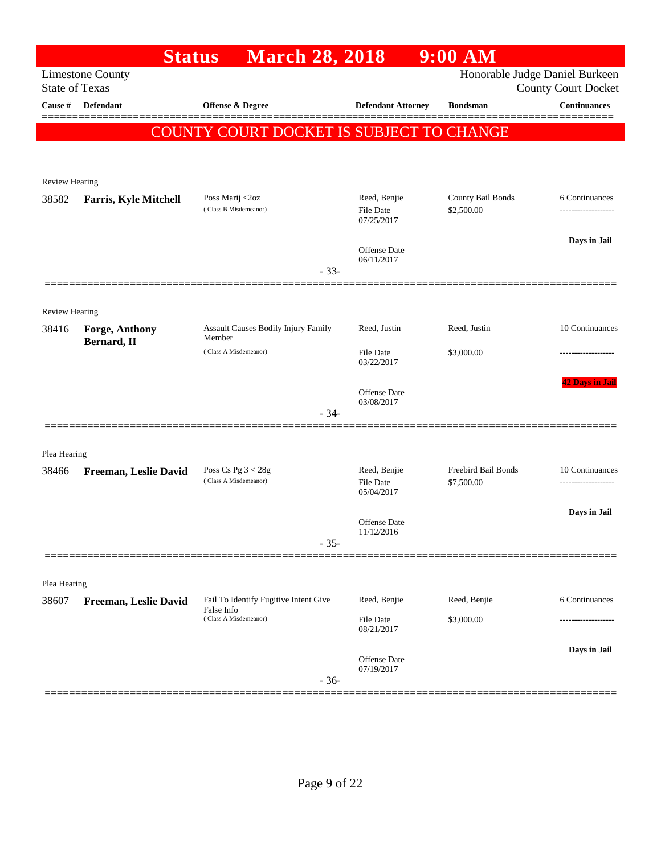|                       | <b>Status</b>                        | <b>March 28, 2018</b>                                |                                         | $9:00$ AM                       |                                                              |
|-----------------------|--------------------------------------|------------------------------------------------------|-----------------------------------------|---------------------------------|--------------------------------------------------------------|
| <b>State of Texas</b> | <b>Limestone County</b>              |                                                      |                                         |                                 | Honorable Judge Daniel Burkeen<br><b>County Court Docket</b> |
| <b>Cause</b> #        | Defendant                            | Offense & Degree                                     | <b>Defendant Attorney</b>               | <b>Bondsman</b>                 | Continuances                                                 |
|                       |                                      | <b>COUNTY COURT DOCKET IS SUBJECT TO CHANGE</b>      |                                         |                                 |                                                              |
|                       |                                      |                                                      |                                         |                                 |                                                              |
| <b>Review Hearing</b> |                                      |                                                      |                                         |                                 |                                                              |
| 38582                 | <b>Farris, Kyle Mitchell</b>         | Poss Marij <2oz<br>(Class B Misdemeanor)             | Reed, Benjie<br>File Date<br>07/25/2017 | County Bail Bonds<br>\$2,500.00 | 6 Continuances<br>------------------                         |
|                       |                                      |                                                      | Offense Date<br>06/11/2017              |                                 | Days in Jail                                                 |
|                       |                                      | $-33-$                                               |                                         |                                 |                                                              |
| Review Hearing        |                                      |                                                      |                                         |                                 |                                                              |
| 38416                 | <b>Forge, Anthony</b><br>Bernard, II | <b>Assault Causes Bodily Injury Family</b><br>Member | Reed, Justin                            | Reed, Justin                    | 10 Continuances                                              |
|                       |                                      | (Class A Misdemeanor)                                | File Date<br>03/22/2017                 | \$3,000.00                      |                                                              |
|                       |                                      |                                                      | Offense Date<br>03/08/2017              |                                 | <b>42 Days in Jail</b>                                       |
|                       |                                      | $-34-$                                               |                                         |                                 |                                                              |
| Plea Hearing          |                                      |                                                      |                                         |                                 |                                                              |
| 38466                 | Freeman, Leslie David                | Poss Cs Pg $3 < 28g$<br>(Class A Misdemeanor)        | Reed, Benjie                            | Freebird Bail Bonds             | 10 Continuances                                              |
|                       |                                      |                                                      | File Date<br>05/04/2017                 | \$7,500.00                      |                                                              |
|                       |                                      |                                                      | <b>Offense Date</b><br>11/12/2016       |                                 | Days in Jail                                                 |
|                       |                                      | $-35-$                                               |                                         |                                 |                                                              |
| Plea Hearing          |                                      |                                                      |                                         |                                 |                                                              |
| 38607                 | Freeman, Leslie David                | Fail To Identify Fugitive Intent Give<br>False Info  | Reed, Benjie                            | Reed, Benjie                    | 6 Continuances                                               |
|                       |                                      | (Class A Misdemeanor)                                | <b>File Date</b><br>08/21/2017          | \$3,000.00                      |                                                              |
|                       |                                      | $-36-$                                               | Offense Date<br>07/19/2017              |                                 | Days in Jail                                                 |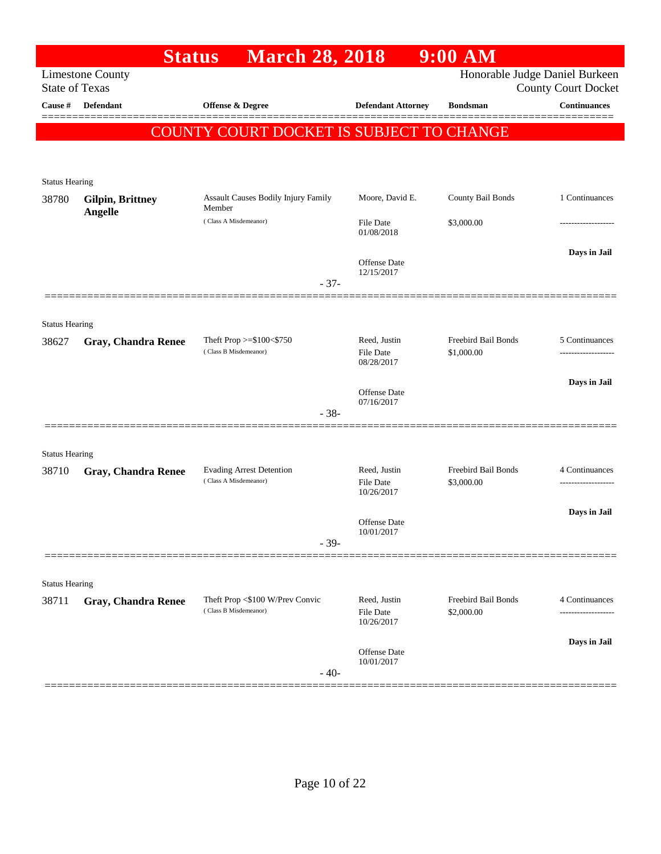|                       | <b>Status</b>                      | <b>March 28, 2018</b>                                    |                                   | $9:00$ AM                         |                                                              |
|-----------------------|------------------------------------|----------------------------------------------------------|-----------------------------------|-----------------------------------|--------------------------------------------------------------|
| <b>State of Texas</b> | <b>Limestone County</b>            |                                                          |                                   |                                   | Honorable Judge Daniel Burkeen<br><b>County Court Docket</b> |
| Cause #               | <b>Defendant</b>                   | <b>Offense &amp; Degree</b>                              | <b>Defendant Attorney</b>         | <b>Bondsman</b>                   | <b>Continuances</b>                                          |
|                       |                                    | COUNTY COURT DOCKET IS SUBJECT TO CHANGE                 |                                   |                                   |                                                              |
|                       |                                    |                                                          |                                   |                                   |                                                              |
|                       |                                    |                                                          |                                   |                                   |                                                              |
| <b>Status Hearing</b> |                                    |                                                          |                                   |                                   |                                                              |
| 38780                 | <b>Gilpin, Brittney</b><br>Angelle | <b>Assault Causes Bodily Injury Family</b><br>Member     | Moore, David E.                   | County Bail Bonds                 | 1 Continuances                                               |
|                       |                                    | (Class A Misdemeanor)                                    | <b>File Date</b><br>01/08/2018    | \$3,000.00                        | .                                                            |
|                       |                                    |                                                          | <b>Offense Date</b>               |                                   | Days in Jail                                                 |
|                       |                                    |                                                          | 12/15/2017                        |                                   |                                                              |
|                       |                                    | $-37-$                                                   |                                   |                                   |                                                              |
|                       |                                    |                                                          |                                   |                                   |                                                              |
| <b>Status Hearing</b> |                                    |                                                          | Reed, Justin                      | Freebird Bail Bonds               | 5 Continuances                                               |
| 38627                 | <b>Gray, Chandra Renee</b>         | Theft Prop $>=$ \$100 $<$ \$750<br>(Class B Misdemeanor) | <b>File Date</b>                  | \$1,000.00                        |                                                              |
|                       |                                    |                                                          | 08/28/2017                        |                                   |                                                              |
|                       |                                    |                                                          | <b>Offense Date</b>               |                                   | Days in Jail                                                 |
|                       |                                    | $-38-$                                                   | 07/16/2017                        |                                   |                                                              |
|                       |                                    |                                                          |                                   |                                   |                                                              |
| <b>Status Hearing</b> |                                    |                                                          |                                   |                                   |                                                              |
| 38710                 | <b>Gray, Chandra Renee</b>         | <b>Evading Arrest Detention</b>                          | Reed, Justin                      | Freebird Bail Bonds               | 4 Continuances                                               |
|                       |                                    | (Class A Misdemeanor)                                    | <b>File Date</b><br>10/26/2017    | \$3,000.00                        | -----------------                                            |
|                       |                                    |                                                          |                                   |                                   | Days in Jail                                                 |
|                       |                                    |                                                          | <b>Offense Date</b><br>10/01/2017 |                                   |                                                              |
|                       |                                    | $-39-$                                                   |                                   |                                   |                                                              |
|                       |                                    |                                                          |                                   |                                   |                                                              |
| <b>Status Hearing</b> |                                    |                                                          |                                   |                                   |                                                              |
| 38711                 | <b>Gray, Chandra Renee</b>         | Theft Prop <\$100 W/Prev Convic<br>(Class B Misdemeanor) | Reed, Justin<br><b>File Date</b>  | Freebird Bail Bonds<br>\$2,000.00 | 4 Continuances<br>--------------                             |
|                       |                                    |                                                          | 10/26/2017                        |                                   |                                                              |
|                       |                                    |                                                          | <b>Offense</b> Date               |                                   | Days in Jail                                                 |
|                       |                                    |                                                          | 10/01/2017                        |                                   |                                                              |
|                       |                                    | $-40-$                                                   |                                   |                                   |                                                              |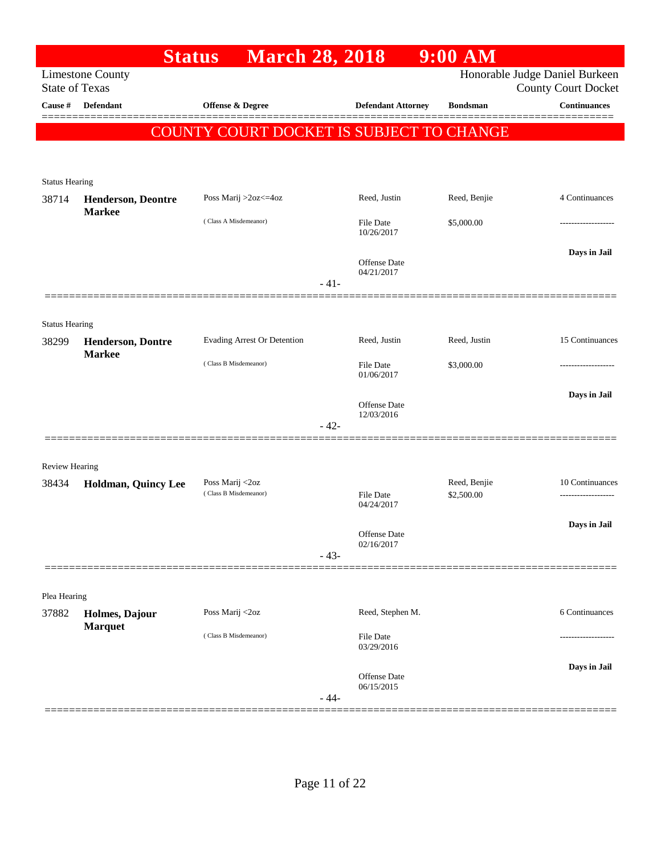|                                |                           | <b>March 28, 2018</b><br><b>Status</b>          |        |                                | 9:00 AM                    |                                                   |
|--------------------------------|---------------------------|-------------------------------------------------|--------|--------------------------------|----------------------------|---------------------------------------------------|
| <b>State of Texas</b>          | <b>Limestone County</b>   |                                                 |        |                                |                            | Honorable Judge Daniel Burkeen                    |
| Cause #                        | Defendant                 | <b>Offense &amp; Degree</b>                     |        | <b>Defendant Attorney</b>      | <b>Bondsman</b>            | <b>County Court Docket</b><br><b>Continuances</b> |
|                                |                           |                                                 |        |                                |                            |                                                   |
|                                |                           | <b>COUNTY COURT DOCKET IS SUBJECT TO CHANGE</b> |        |                                |                            |                                                   |
|                                |                           |                                                 |        |                                |                            |                                                   |
| <b>Status Hearing</b>          |                           |                                                 |        |                                |                            |                                                   |
| 38714                          | <b>Henderson, Deontre</b> | Poss Marij >2oz<=4oz                            |        | Reed, Justin                   | Reed, Benjie               | 4 Continuances                                    |
|                                | <b>Markee</b>             | (Class A Misdemeanor)                           |        | <b>File Date</b>               | \$5,000.00                 |                                                   |
|                                |                           |                                                 |        | 10/26/2017                     |                            |                                                   |
|                                |                           |                                                 |        | Offense Date                   |                            | Days in Jail                                      |
|                                |                           |                                                 | $-41-$ | 04/21/2017                     |                            |                                                   |
|                                |                           |                                                 |        |                                |                            |                                                   |
|                                |                           |                                                 |        |                                |                            |                                                   |
| <b>Status Hearing</b><br>38299 | <b>Henderson, Dontre</b>  | <b>Evading Arrest Or Detention</b>              |        | Reed, Justin                   | Reed, Justin               | 15 Continuances                                   |
|                                | <b>Markee</b>             |                                                 |        |                                |                            |                                                   |
|                                |                           | (Class B Misdemeanor)                           |        | <b>File Date</b><br>01/06/2017 | \$3,000.00                 |                                                   |
|                                |                           |                                                 |        |                                |                            | Days in Jail                                      |
|                                |                           |                                                 |        | Offense Date<br>12/03/2016     |                            |                                                   |
|                                |                           |                                                 | $-42-$ |                                |                            |                                                   |
|                                |                           |                                                 |        |                                |                            |                                                   |
| Review Hearing                 |                           |                                                 |        |                                |                            |                                                   |
| 38434                          | Holdman, Quincy Lee       | Poss Marij <2oz<br>(Class B Misdemeanor)        |        | <b>File Date</b>               | Reed, Benjie<br>\$2,500.00 | 10 Continuances                                   |
|                                |                           |                                                 |        | 04/24/2017                     |                            |                                                   |
|                                |                           |                                                 |        | Offense Date                   |                            | Days in Jail                                      |
|                                |                           |                                                 | $-43-$ | 02/16/2017                     |                            |                                                   |
|                                |                           |                                                 |        |                                |                            |                                                   |
| Plea Hearing                   |                           |                                                 |        |                                |                            |                                                   |
| 37882                          | Holmes, Dajour            | Poss Marij <2oz                                 |        | Reed, Stephen M.               |                            | 6 Continuances                                    |
|                                | <b>Marquet</b>            | (Class B Misdemeanor)                           |        | File Date                      |                            |                                                   |
|                                |                           |                                                 |        | 03/29/2016                     |                            |                                                   |
|                                |                           |                                                 |        |                                |                            | Days in Jail                                      |
|                                |                           |                                                 |        | Offense Date<br>06/15/2015     |                            |                                                   |
|                                |                           |                                                 | $-44-$ |                                |                            |                                                   |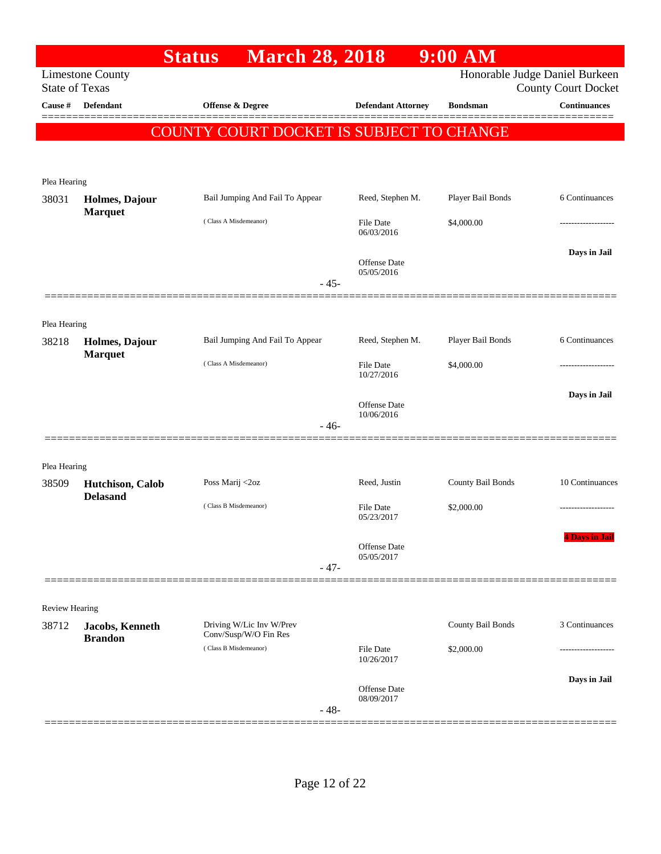|                       |                                     | <b>March 28, 2018</b><br><b>Status</b>          |                                   | $9:00$ AM         |                                |
|-----------------------|-------------------------------------|-------------------------------------------------|-----------------------------------|-------------------|--------------------------------|
|                       | <b>Limestone County</b>             |                                                 |                                   |                   | Honorable Judge Daniel Burkeen |
| <b>State of Texas</b> |                                     |                                                 |                                   |                   | <b>County Court Docket</b>     |
| Cause #               | <b>Defendant</b>                    | Offense & Degree                                | <b>Defendant Attorney</b>         | <b>Bondsman</b>   | <b>Continuances</b>            |
|                       |                                     | <b>COUNTY COURT DOCKET IS SUBJECT TO CHANGE</b> |                                   |                   |                                |
|                       |                                     |                                                 |                                   |                   |                                |
|                       |                                     |                                                 |                                   |                   |                                |
| Plea Hearing<br>38031 |                                     | Bail Jumping And Fail To Appear                 | Reed, Stephen M.                  | Player Bail Bonds | 6 Continuances                 |
|                       | Holmes, Dajour<br><b>Marquet</b>    |                                                 |                                   |                   |                                |
|                       |                                     | (Class A Misdemeanor)                           | <b>File Date</b><br>06/03/2016    | \$4,000.00        |                                |
|                       |                                     |                                                 |                                   |                   | Days in Jail                   |
|                       |                                     |                                                 | Offense Date<br>05/05/2016        |                   |                                |
|                       |                                     |                                                 | $-45-$                            |                   |                                |
|                       |                                     |                                                 |                                   |                   |                                |
| Plea Hearing          |                                     |                                                 |                                   |                   |                                |
| 38218                 | Holmes, Dajour                      | Bail Jumping And Fail To Appear                 | Reed, Stephen M.                  | Player Bail Bonds | 6 Continuances                 |
|                       | <b>Marquet</b>                      | (Class A Misdemeanor)                           | <b>File Date</b>                  | \$4,000.00        |                                |
|                       |                                     |                                                 | 10/27/2016                        |                   |                                |
|                       |                                     |                                                 | <b>Offense</b> Date               |                   | Days in Jail                   |
|                       |                                     |                                                 | 10/06/2016                        |                   |                                |
|                       |                                     |                                                 | $-46-$                            |                   |                                |
|                       |                                     |                                                 |                                   |                   |                                |
| Plea Hearing          |                                     |                                                 |                                   |                   | 10 Continuances                |
| 38509                 | Hutchison, Calob<br><b>Delasand</b> | Poss Marij <2oz                                 | Reed, Justin                      | County Bail Bonds |                                |
|                       |                                     | (Class B Misdemeanor)                           | File Date<br>05/23/2017           | \$2,000.00        |                                |
|                       |                                     |                                                 |                                   |                   | <b>4 Days in Jail</b>          |
|                       |                                     |                                                 | <b>Offense</b> Date<br>05/05/2017 |                   |                                |
|                       |                                     |                                                 | $-47-$                            |                   |                                |
|                       |                                     |                                                 |                                   |                   |                                |
| <b>Review Hearing</b> |                                     |                                                 |                                   |                   |                                |
| 38712                 | Jacobs, Kenneth                     | Driving W/Lic Inv W/Prev                        |                                   | County Bail Bonds | 3 Continuances                 |
|                       | <b>Brandon</b>                      | Conv/Susp/W/O Fin Res<br>(Class B Misdemeanor)  | <b>File Date</b>                  | \$2,000.00        |                                |
|                       |                                     |                                                 | 10/26/2017                        |                   |                                |
|                       |                                     |                                                 | <b>Offense</b> Date               |                   | Days in Jail                   |
|                       |                                     |                                                 | 08/09/2017                        |                   |                                |
|                       |                                     |                                                 | $-48-$                            |                   |                                |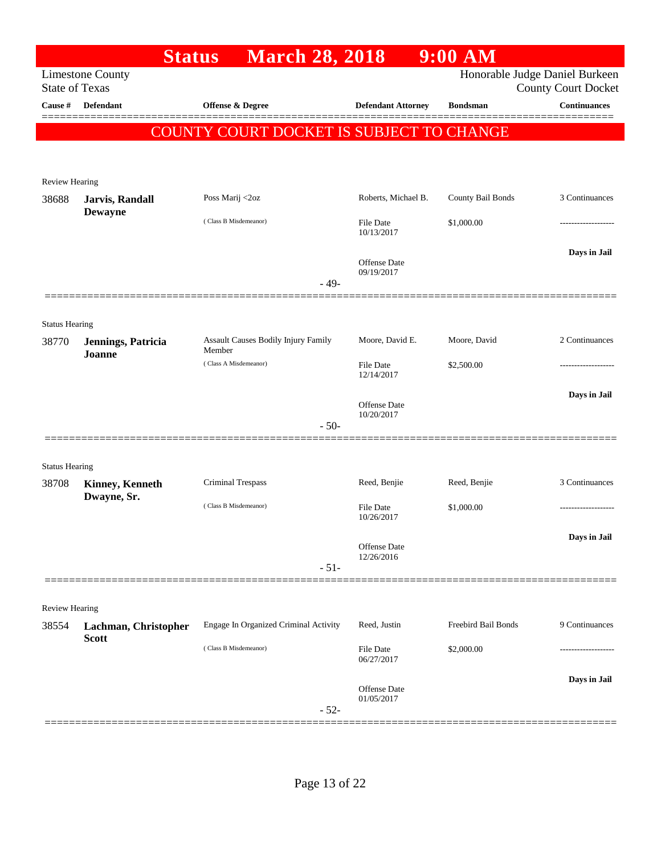|                                |                              | <b>Status</b>         | <b>March 28, 2018</b>                 |                            | $9:00$ AM                                       |                                                              |
|--------------------------------|------------------------------|-----------------------|---------------------------------------|----------------------------|-------------------------------------------------|--------------------------------------------------------------|
| <b>State of Texas</b>          | <b>Limestone County</b>      |                       |                                       |                            |                                                 | Honorable Judge Daniel Burkeen<br><b>County Court Docket</b> |
| Cause #                        | <b>Defendant</b>             | Offense & Degree      |                                       | <b>Defendant Attorney</b>  | <b>Bondsman</b>                                 | <b>Continuances</b>                                          |
|                                |                              |                       |                                       |                            | <b>COUNTY COURT DOCKET IS SUBJECT TO CHANGE</b> |                                                              |
|                                |                              |                       |                                       |                            |                                                 |                                                              |
| <b>Review Hearing</b>          |                              |                       |                                       |                            |                                                 |                                                              |
| 38688                          | Jarvis, Randall              | Poss Marij <2oz       |                                       | Roberts, Michael B.        | County Bail Bonds                               | 3 Continuances                                               |
|                                | <b>Dewayne</b>               | (Class B Misdemeanor) |                                       | File Date                  | \$1,000.00                                      |                                                              |
|                                |                              |                       |                                       | 10/13/2017                 |                                                 |                                                              |
|                                |                              |                       |                                       | Offense Date               |                                                 | Days in Jail                                                 |
|                                |                              |                       | $-49-$                                | 09/19/2017                 |                                                 |                                                              |
|                                |                              |                       |                                       |                            |                                                 |                                                              |
| <b>Status Hearing</b>          |                              |                       |                                       |                            |                                                 |                                                              |
| 38770                          | Jennings, Patricia<br>Joanne | Member                | Assault Causes Bodily Injury Family   | Moore, David E.            | Moore, David                                    | 2 Continuances                                               |
|                                |                              | (Class A Misdemeanor) |                                       | File Date<br>12/14/2017    | \$2,500.00                                      |                                                              |
|                                |                              |                       |                                       |                            |                                                 | Days in Jail                                                 |
|                                |                              |                       |                                       | Offense Date<br>10/20/2017 |                                                 |                                                              |
|                                |                              |                       | $-50-$                                |                            |                                                 |                                                              |
|                                |                              |                       |                                       |                            |                                                 |                                                              |
| <b>Status Hearing</b><br>38708 | <b>Kinney, Kenneth</b>       | Criminal Trespass     |                                       | Reed, Benjie               | Reed, Benjie                                    | 3 Continuances                                               |
|                                | Dwayne, Sr.                  |                       |                                       |                            |                                                 |                                                              |
|                                |                              | (Class B Misdemeanor) |                                       | File Date<br>10/26/2017    | \$1,000.00                                      |                                                              |
|                                |                              |                       |                                       | Offense Date               |                                                 | Days in Jail                                                 |
|                                |                              |                       | $-51-$                                | 12/26/2016                 |                                                 |                                                              |
|                                |                              |                       |                                       |                            |                                                 |                                                              |
| Review Hearing                 |                              |                       |                                       |                            |                                                 |                                                              |
| 38554                          | Lachman, Christopher         |                       | Engage In Organized Criminal Activity | Reed, Justin               | Freebird Bail Bonds                             | 9 Continuances                                               |
|                                | <b>Scott</b>                 | (Class B Misdemeanor) |                                       | File Date                  | \$2,000.00                                      |                                                              |
|                                |                              |                       |                                       | 06/27/2017                 |                                                 |                                                              |
|                                |                              |                       |                                       | Offense Date<br>01/05/2017 |                                                 | Days in Jail                                                 |
|                                |                              |                       | $-52-$                                |                            |                                                 |                                                              |
|                                |                              |                       |                                       |                            |                                                 |                                                              |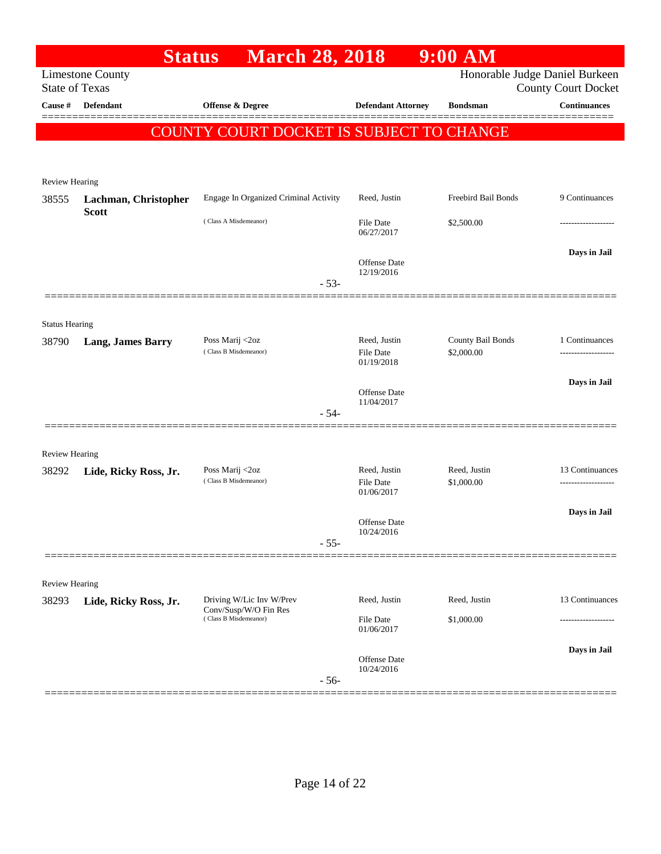|                                | <b>Status</b>                                    | <b>March 28, 2018</b>                          |                                                | $9:00$ AM                       |                                                              |
|--------------------------------|--------------------------------------------------|------------------------------------------------|------------------------------------------------|---------------------------------|--------------------------------------------------------------|
|                                | <b>Limestone County</b><br><b>State of Texas</b> |                                                |                                                |                                 | Honorable Judge Daniel Burkeen<br><b>County Court Docket</b> |
| Cause #                        | <b>Defendant</b>                                 | <b>Offense &amp; Degree</b>                    | <b>Defendant Attorney</b>                      | <b>Bondsman</b>                 | <b>Continuances</b>                                          |
|                                |                                                  | COUNTY COURT DOCKET IS SUBJECT TO CHANGE       |                                                |                                 |                                                              |
|                                |                                                  |                                                |                                                |                                 |                                                              |
| Review Hearing                 |                                                  |                                                |                                                |                                 |                                                              |
| 38555                          | Lachman, Christopher                             | Engage In Organized Criminal Activity          | Reed, Justin                                   | Freebird Bail Bonds             | 9 Continuances                                               |
|                                | <b>Scott</b>                                     | (Class A Misdemeanor)                          | <b>File Date</b><br>06/27/2017                 | \$2,500.00                      |                                                              |
|                                |                                                  | $-53-$                                         | Offense Date<br>12/19/2016                     |                                 | Days in Jail                                                 |
|                                |                                                  |                                                |                                                |                                 |                                                              |
| <b>Status Hearing</b>          |                                                  |                                                |                                                |                                 |                                                              |
| 38790                          | <b>Lang, James Barry</b>                         | Poss Marij <2oz<br>(Class B Misdemeanor)       | Reed, Justin<br><b>File Date</b><br>01/19/2018 | County Bail Bonds<br>\$2,000.00 | 1 Continuances                                               |
|                                |                                                  |                                                | <b>Offense Date</b>                            |                                 | Days in Jail                                                 |
|                                |                                                  | $-54-$                                         | 11/04/2017                                     |                                 |                                                              |
|                                |                                                  |                                                |                                                |                                 |                                                              |
| <b>Review Hearing</b><br>38292 | Lide, Ricky Ross, Jr.                            | Poss Marij <2oz<br>(Class B Misdemeanor)       | Reed, Justin<br>File Date<br>01/06/2017        | Reed, Justin<br>\$1,000.00      | 13 Continuances<br>.                                         |
|                                |                                                  |                                                | <b>Offense Date</b>                            |                                 | Days in Jail                                                 |
|                                |                                                  | $-55-$                                         | 10/24/2016                                     |                                 |                                                              |
|                                |                                                  |                                                |                                                |                                 |                                                              |
| <b>Review Hearing</b><br>38293 | Lide, Ricky Ross, Jr.                            | Driving W/Lic Inv W/Prev                       | Reed, Justin                                   | Reed, Justin                    | 13 Continuances                                              |
|                                |                                                  | Conv/Susp/W/O Fin Res<br>(Class B Misdemeanor) | <b>File Date</b><br>01/06/2017                 | \$1,000.00                      |                                                              |
|                                |                                                  | $-56-$                                         | <b>Offense Date</b><br>10/24/2016              |                                 | Days in Jail                                                 |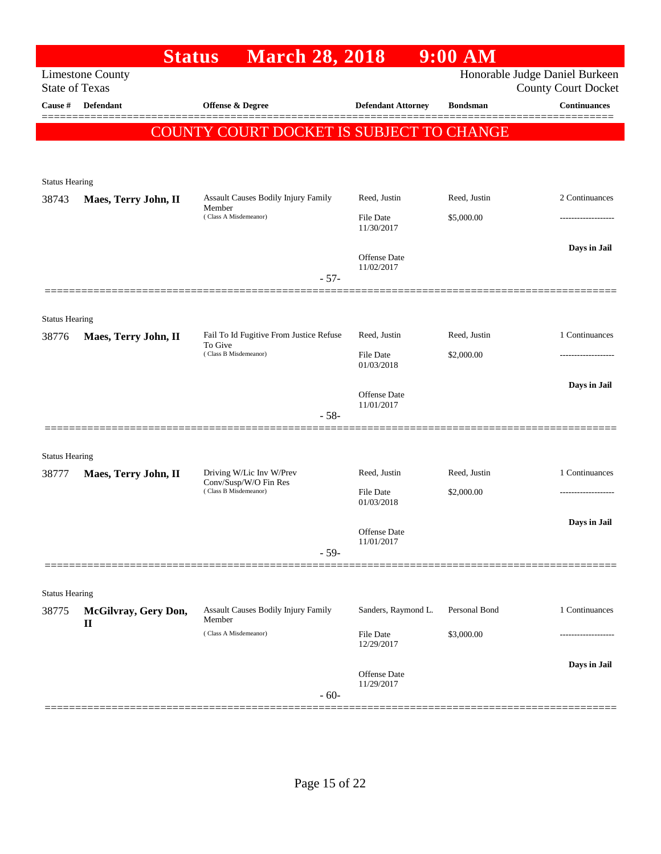|                       |                                                  | <b>March 28, 2018</b><br><b>Status</b>                                     |                                | $9:00$ AM                  |                                                              |
|-----------------------|--------------------------------------------------|----------------------------------------------------------------------------|--------------------------------|----------------------------|--------------------------------------------------------------|
|                       | <b>Limestone County</b><br><b>State of Texas</b> |                                                                            |                                |                            | Honorable Judge Daniel Burkeen<br><b>County Court Docket</b> |
| Cause #               | <b>Defendant</b>                                 | Offense & Degree                                                           | <b>Defendant Attorney</b>      | <b>Bondsman</b>            | <b>Continuances</b>                                          |
|                       |                                                  | COUNTY COURT DOCKET IS SUBJECT TO CHANGE                                   |                                |                            |                                                              |
|                       |                                                  |                                                                            |                                |                            |                                                              |
| <b>Status Hearing</b> |                                                  |                                                                            |                                |                            |                                                              |
| 38743                 | Maes, Terry John, II                             | Assault Causes Bodily Injury Family<br>Member                              | Reed, Justin                   | Reed, Justin               | 2 Continuances                                               |
|                       |                                                  | (Class A Misdemeanor)                                                      | <b>File Date</b><br>11/30/2017 | \$5,000.00                 |                                                              |
|                       |                                                  |                                                                            | <b>Offense</b> Date            |                            | Days in Jail                                                 |
|                       |                                                  | $-57-$                                                                     | 11/02/2017                     |                            |                                                              |
| <b>Status Hearing</b> |                                                  |                                                                            |                                |                            |                                                              |
| 38776                 | Maes, Terry John, II                             | Fail To Id Fugitive From Justice Refuse<br>To Give                         | Reed, Justin                   | Reed, Justin               | 1 Continuances                                               |
|                       |                                                  | (Class B Misdemeanor)                                                      | <b>File Date</b><br>01/03/2018 | \$2,000.00                 |                                                              |
|                       |                                                  | $-58-$                                                                     | Offense Date<br>11/01/2017     |                            | Days in Jail                                                 |
|                       |                                                  |                                                                            |                                |                            |                                                              |
| <b>Status Hearing</b> |                                                  |                                                                            |                                |                            | 1 Continuances                                               |
| 38777                 | Maes, Terry John, II                             | Driving W/Lic Inv W/Prev<br>Conv/Susp/W/O Fin Res<br>(Class B Misdemeanor) | Reed, Justin<br>File Date      | Reed, Justin<br>\$2,000.00 |                                                              |
|                       |                                                  |                                                                            | 01/03/2018                     |                            |                                                              |
|                       |                                                  |                                                                            | Offense Date<br>11/01/2017     |                            | Days in Jail                                                 |
|                       |                                                  | $-59-$                                                                     |                                |                            |                                                              |
| <b>Status Hearing</b> |                                                  |                                                                            |                                |                            |                                                              |
| 38775                 | McGilvray, Gery Don,<br>$\mathbf{I}$             | Assault Causes Bodily Injury Family<br>Member                              | Sanders, Raymond L.            | Personal Bond              | 1 Continuances                                               |
|                       |                                                  | (Class A Misdemeanor)                                                      | File Date<br>12/29/2017        | \$3,000.00                 |                                                              |
|                       |                                                  | $-60-$                                                                     | Offense Date<br>11/29/2017     |                            | Days in Jail                                                 |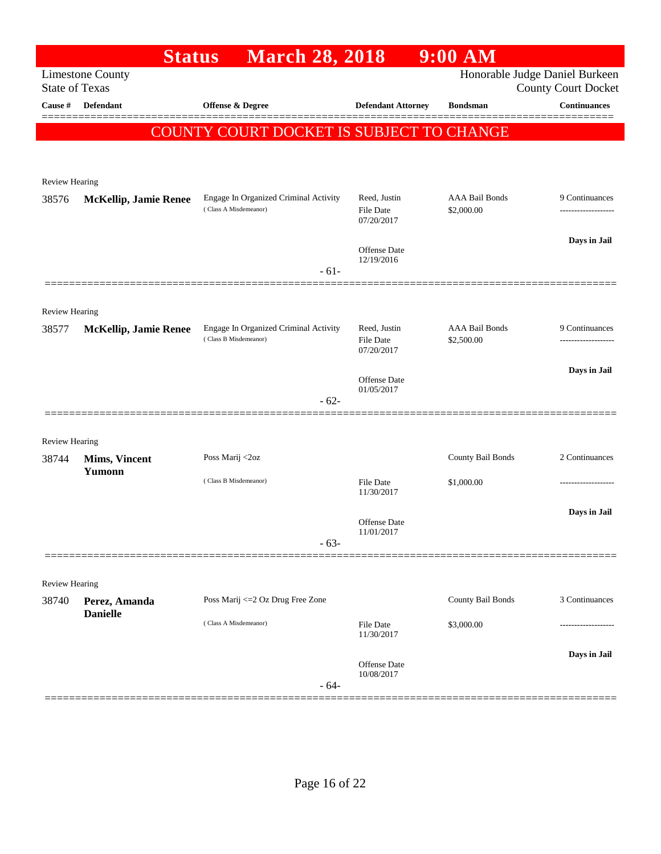|                       | <b>Status</b>                | <b>March 28, 2018</b>                                          |                                                | $9:00$ AM                           |                                                              |
|-----------------------|------------------------------|----------------------------------------------------------------|------------------------------------------------|-------------------------------------|--------------------------------------------------------------|
| <b>State of Texas</b> | <b>Limestone County</b>      |                                                                |                                                |                                     | Honorable Judge Daniel Burkeen<br><b>County Court Docket</b> |
| Cause #               | <b>Defendant</b>             | <b>Offense &amp; Degree</b>                                    | <b>Defendant Attorney</b>                      | <b>Bondsman</b>                     | <b>Continuances</b>                                          |
|                       |                              | COUNTY COURT DOCKET IS SUBJECT TO CHANGE                       |                                                |                                     |                                                              |
|                       |                              |                                                                |                                                |                                     |                                                              |
|                       |                              |                                                                |                                                |                                     |                                                              |
| Review Hearing        |                              |                                                                |                                                |                                     |                                                              |
| 38576                 | <b>McKellip, Jamie Renee</b> | Engage In Organized Criminal Activity<br>(Class A Misdemeanor) | Reed, Justin<br><b>File Date</b><br>07/20/2017 | <b>AAA Bail Bonds</b><br>\$2,000.00 | 9 Continuances                                               |
|                       |                              |                                                                | <b>Offense Date</b><br>12/19/2016              |                                     | Days in Jail                                                 |
|                       |                              | $-61-$                                                         |                                                |                                     |                                                              |
| <b>Review Hearing</b> |                              |                                                                |                                                |                                     |                                                              |
| 38577                 | <b>McKellip, Jamie Renee</b> | Engage In Organized Criminal Activity                          | Reed, Justin                                   | <b>AAA Bail Bonds</b>               | 9 Continuances                                               |
|                       |                              | (Class B Misdemeanor)                                          | <b>File Date</b><br>07/20/2017                 | \$2,500.00                          | ------------------                                           |
|                       |                              |                                                                |                                                |                                     | Days in Jail                                                 |
|                       |                              |                                                                | <b>Offense Date</b><br>01/05/2017              |                                     |                                                              |
|                       |                              | $-62-$                                                         |                                                |                                     |                                                              |
| <b>Review Hearing</b> |                              |                                                                |                                                |                                     |                                                              |
| 38744                 | <b>Mims, Vincent</b>         | Poss Marij <2oz                                                |                                                | County Bail Bonds                   | 2 Continuances                                               |
|                       | Yumonn                       | (Class B Misdemeanor)                                          | <b>File Date</b>                               | \$1,000.00                          |                                                              |
|                       |                              |                                                                | 11/30/2017                                     |                                     |                                                              |
|                       |                              |                                                                | <b>Offense Date</b>                            |                                     | Days in Jail                                                 |
|                       |                              | $-63-$                                                         | 11/01/2017                                     |                                     |                                                              |
|                       |                              |                                                                |                                                |                                     |                                                              |
| Review Hearing        |                              |                                                                |                                                |                                     |                                                              |
| 38740                 | Perez, Amanda                | Poss Marij <= 2 Oz Drug Free Zone                              |                                                | County Bail Bonds                   | 3 Continuances                                               |
|                       | <b>Danielle</b>              | (Class A Misdemeanor)                                          | <b>File Date</b><br>11/30/2017                 | \$3,000.00                          |                                                              |
|                       |                              |                                                                | Offense Date                                   |                                     | Days in Jail                                                 |
|                       |                              | $-64-$                                                         | 10/08/2017                                     |                                     |                                                              |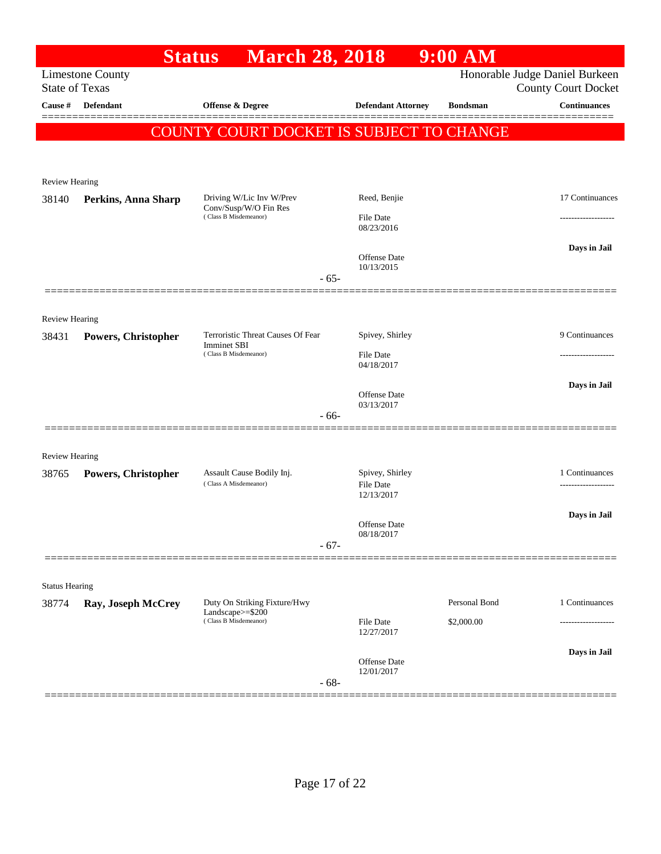|                                |                         | <b>March 28, 2018</b><br><b>Status</b>           |                                   | $9:00$ AM       |                                                              |
|--------------------------------|-------------------------|--------------------------------------------------|-----------------------------------|-----------------|--------------------------------------------------------------|
| <b>State of Texas</b>          | <b>Limestone County</b> |                                                  |                                   |                 | Honorable Judge Daniel Burkeen<br><b>County Court Docket</b> |
| Cause #                        | Defendant               | <b>Offense &amp; Degree</b>                      | <b>Defendant Attorney</b>         | <b>Bondsman</b> | <b>Continuances</b>                                          |
|                                |                         | COUNTY COURT DOCKET IS SUBJECT TO CHANGE         |                                   |                 |                                                              |
|                                |                         |                                                  |                                   |                 |                                                              |
| Review Hearing                 |                         |                                                  |                                   |                 |                                                              |
| 38140                          | Perkins, Anna Sharp     | Driving W/Lic Inv W/Prev                         | Reed, Benjie                      |                 | 17 Continuances                                              |
|                                |                         | Conv/Susp/W/O Fin Res<br>(Class B Misdemeanor)   | File Date<br>08/23/2016           |                 |                                                              |
|                                |                         | $-65-$                                           | Offense Date<br>10/13/2015        |                 | Days in Jail                                                 |
|                                |                         |                                                  |                                   |                 |                                                              |
| <b>Review Hearing</b><br>38431 |                         | Terroristic Threat Causes Of Fear                | Spivey, Shirley                   |                 | 9 Continuances                                               |
|                                | Powers, Christopher     | <b>Imminet SBI</b><br>(Class B Misdemeanor)      | <b>File Date</b>                  |                 | -----------------                                            |
|                                |                         |                                                  | 04/18/2017                        |                 |                                                              |
|                                |                         |                                                  | <b>Offense</b> Date<br>03/13/2017 |                 | Days in Jail                                                 |
|                                |                         | - 66-                                            |                                   |                 |                                                              |
|                                |                         |                                                  |                                   |                 |                                                              |
| <b>Review Hearing</b><br>38765 |                         | Assault Cause Bodily Inj.                        | Spivey, Shirley                   |                 | 1 Continuances                                               |
|                                | Powers, Christopher     | (Class A Misdemeanor)                            | File Date<br>12/13/2017           |                 |                                                              |
|                                |                         |                                                  |                                   |                 | Days in Jail                                                 |
|                                |                         |                                                  | Offense Date<br>08/18/2017        |                 |                                                              |
|                                |                         | $-67-$                                           |                                   |                 |                                                              |
| <b>Status Hearing</b>          |                         |                                                  |                                   |                 |                                                              |
| 38774                          | Ray, Joseph McCrey      | Duty On Striking Fixture/Hwy<br>Landscape>=\$200 |                                   | Personal Bond   | 1 Continuances                                               |
|                                |                         | (Class B Misdemeanor)                            | File Date<br>12/27/2017           | \$2,000.00      |                                                              |
|                                |                         | $-68-$                                           | Offense Date<br>12/01/2017        |                 | Days in Jail                                                 |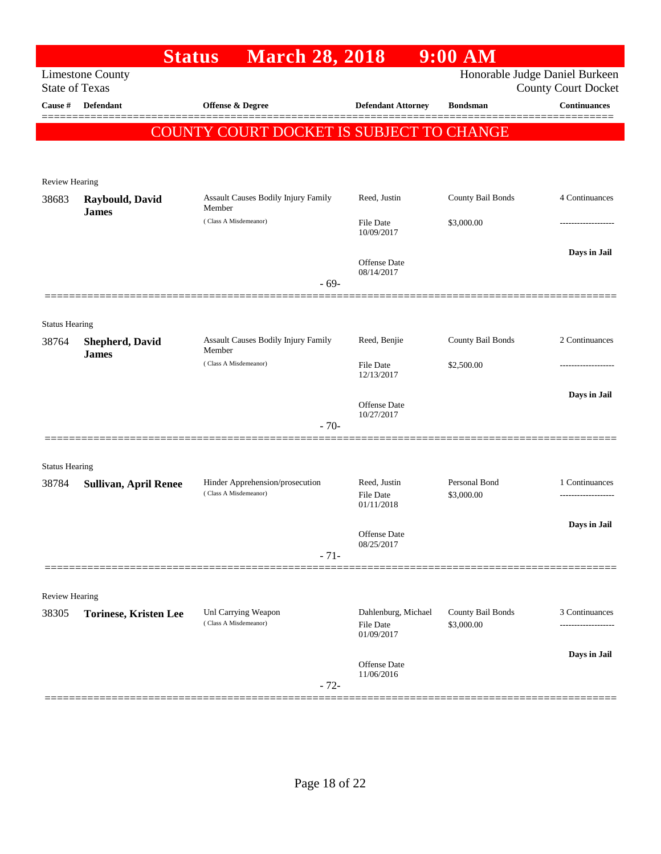|                                |                              | <b>Status</b>                                   | <b>March 28, 2018</b> |                                         | $9:00$ AM                       |                                                              |
|--------------------------------|------------------------------|-------------------------------------------------|-----------------------|-----------------------------------------|---------------------------------|--------------------------------------------------------------|
| <b>State of Texas</b>          | <b>Limestone County</b>      |                                                 |                       |                                         |                                 | Honorable Judge Daniel Burkeen<br><b>County Court Docket</b> |
| Cause #                        | <b>Defendant</b>             | Offense & Degree                                |                       | <b>Defendant Attorney</b>               | <b>Bondsman</b>                 | <b>Continuances</b>                                          |
|                                |                              | <b>COUNTY COURT DOCKET IS SUBJECT TO CHANGE</b> |                       |                                         |                                 |                                                              |
|                                |                              |                                                 |                       |                                         |                                 |                                                              |
|                                |                              |                                                 |                       |                                         |                                 |                                                              |
| <b>Review Hearing</b><br>38683 | Raybould, David              | <b>Assault Causes Bodily Injury Family</b>      |                       | Reed, Justin                            | County Bail Bonds               | 4 Continuances                                               |
|                                | <b>James</b>                 | Member                                          |                       |                                         |                                 |                                                              |
|                                |                              | (Class A Misdemeanor)                           |                       | <b>File Date</b><br>10/09/2017          | \$3,000.00                      |                                                              |
|                                |                              |                                                 |                       |                                         |                                 | Days in Jail                                                 |
|                                |                              |                                                 |                       | <b>Offense</b> Date<br>08/14/2017       |                                 |                                                              |
|                                |                              |                                                 | $-69-$                |                                         |                                 |                                                              |
|                                |                              |                                                 |                       |                                         |                                 |                                                              |
| <b>Status Hearing</b><br>38764 | <b>Shepherd, David</b>       | Assault Causes Bodily Injury Family             |                       | Reed, Benjie                            | County Bail Bonds               | 2 Continuances                                               |
|                                | <b>James</b>                 | Member<br>(Class A Misdemeanor)                 |                       | <b>File Date</b>                        |                                 |                                                              |
|                                |                              |                                                 |                       | 12/13/2017                              | \$2,500.00                      |                                                              |
|                                |                              |                                                 |                       | <b>Offense</b> Date                     |                                 | Days in Jail                                                 |
|                                |                              |                                                 |                       | 10/27/2017                              |                                 |                                                              |
|                                |                              |                                                 | $-70-$                |                                         |                                 |                                                              |
| <b>Status Hearing</b>          |                              |                                                 |                       |                                         |                                 |                                                              |
| 38784                          | <b>Sullivan, April Renee</b> | Hinder Apprehension/prosecution                 |                       | Reed, Justin                            | Personal Bond                   | 1 Continuances                                               |
|                                |                              | (Class A Misdemeanor)                           |                       | <b>File Date</b><br>01/11/2018          | \$3,000.00                      | .                                                            |
|                                |                              |                                                 |                       |                                         |                                 | Days in Jail                                                 |
|                                |                              |                                                 |                       | Offense Date<br>08/25/2017              |                                 |                                                              |
|                                |                              |                                                 | $-71-$                |                                         |                                 |                                                              |
|                                |                              |                                                 |                       |                                         |                                 |                                                              |
| Review Hearing                 |                              |                                                 |                       |                                         |                                 |                                                              |
| 38305                          | <b>Torinese, Kristen Lee</b> | Unl Carrying Weapon<br>(Class A Misdemeanor)    |                       | Dahlenburg, Michael<br><b>File Date</b> | County Bail Bonds<br>\$3,000.00 | 3 Continuances                                               |
|                                |                              |                                                 |                       | 01/09/2017                              |                                 |                                                              |
|                                |                              |                                                 |                       | Offense Date                            |                                 | Days in Jail                                                 |
|                                |                              |                                                 | $-72-$                | 11/06/2016                              |                                 |                                                              |
|                                |                              |                                                 |                       |                                         |                                 |                                                              |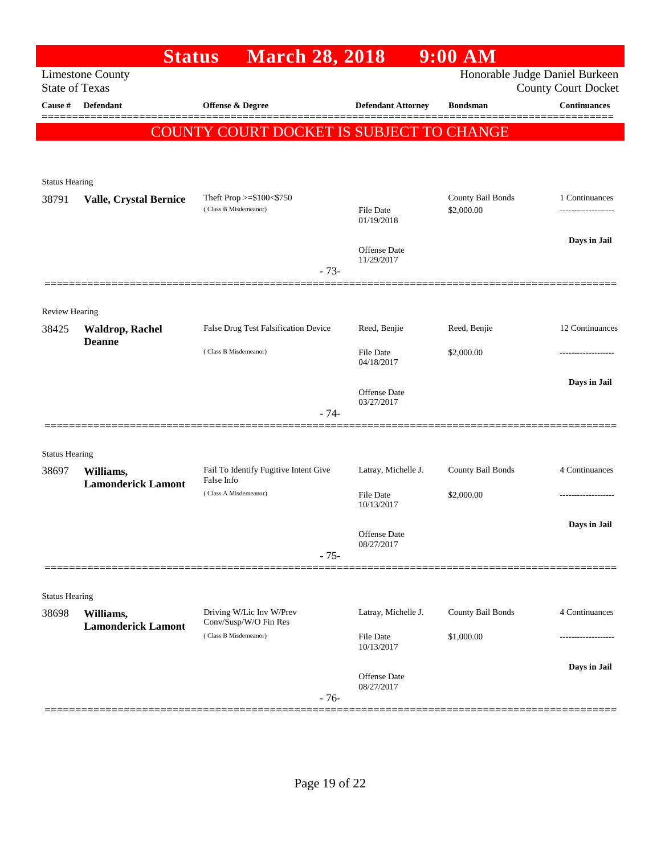|                                | <b>Status</b>                          | <b>March 28, 2018</b>                               |                                | $9:00$ AM         |                                                              |
|--------------------------------|----------------------------------------|-----------------------------------------------------|--------------------------------|-------------------|--------------------------------------------------------------|
| <b>State of Texas</b>          | <b>Limestone County</b>                |                                                     |                                |                   | Honorable Judge Daniel Burkeen<br><b>County Court Docket</b> |
| Cause #                        | <b>Defendant</b>                       | <b>Offense &amp; Degree</b>                         | <b>Defendant Attorney</b>      | <b>Bondsman</b>   | <b>Continuances</b>                                          |
|                                |                                        | COUNTY COURT DOCKET IS SUBJECT TO CHANGE            |                                |                   |                                                              |
|                                |                                        |                                                     |                                |                   |                                                              |
|                                |                                        |                                                     |                                |                   |                                                              |
| <b>Status Hearing</b><br>38791 | <b>Valle, Crystal Bernice</b>          | Theft Prop $>=\$100<\$750$                          |                                | County Bail Bonds | 1 Continuances                                               |
|                                |                                        | (Class B Misdemeanor)                               | <b>File Date</b><br>01/19/2018 | \$2,000.00        |                                                              |
|                                |                                        |                                                     |                                |                   | Days in Jail                                                 |
|                                |                                        |                                                     | Offense Date<br>11/29/2017     |                   |                                                              |
|                                |                                        | $-73-$                                              |                                |                   |                                                              |
|                                |                                        |                                                     |                                |                   |                                                              |
| <b>Review Hearing</b><br>38425 | <b>Waldrop, Rachel</b>                 | False Drug Test Falsification Device                | Reed, Benjie                   | Reed, Benjie      | 12 Continuances                                              |
|                                | <b>Deanne</b>                          | (Class B Misdemeanor)                               | <b>File Date</b>               | \$2,000.00        |                                                              |
|                                |                                        |                                                     | 04/18/2017                     |                   |                                                              |
|                                |                                        |                                                     | Offense Date                   |                   | Days in Jail                                                 |
|                                |                                        | $-74-$                                              | 03/27/2017                     |                   |                                                              |
|                                |                                        |                                                     |                                |                   |                                                              |
| <b>Status Hearing</b>          |                                        |                                                     |                                |                   |                                                              |
| 38697                          | Williams,<br><b>Lamonderick Lamont</b> | Fail To Identify Fugitive Intent Give<br>False Info | Latray, Michelle J.            | County Bail Bonds | 4 Continuances                                               |
|                                |                                        | (Class A Misdemeanor)                               | <b>File Date</b><br>10/13/2017 | \$2,000.00        |                                                              |
|                                |                                        |                                                     |                                |                   | Days in Jail                                                 |
|                                |                                        |                                                     | Offense Date<br>08/27/2017     |                   |                                                              |
|                                |                                        | $-75-$                                              |                                |                   |                                                              |
| <b>Status Hearing</b>          |                                        |                                                     |                                |                   |                                                              |
| 38698                          | Williams,                              | Driving W/Lic Inv W/Prev                            | Latray, Michelle J.            | County Bail Bonds | 4 Continuances                                               |
|                                | <b>Lamonderick Lamont</b>              | Conv/Susp/W/O Fin Res<br>(Class B Misdemeanor)      | <b>File Date</b>               | \$1,000.00        |                                                              |
|                                |                                        |                                                     | 10/13/2017                     |                   |                                                              |
|                                |                                        |                                                     | Offense Date                   |                   | Days in Jail                                                 |
|                                |                                        | $-76-$                                              | 08/27/2017                     |                   |                                                              |
|                                |                                        |                                                     |                                |                   |                                                              |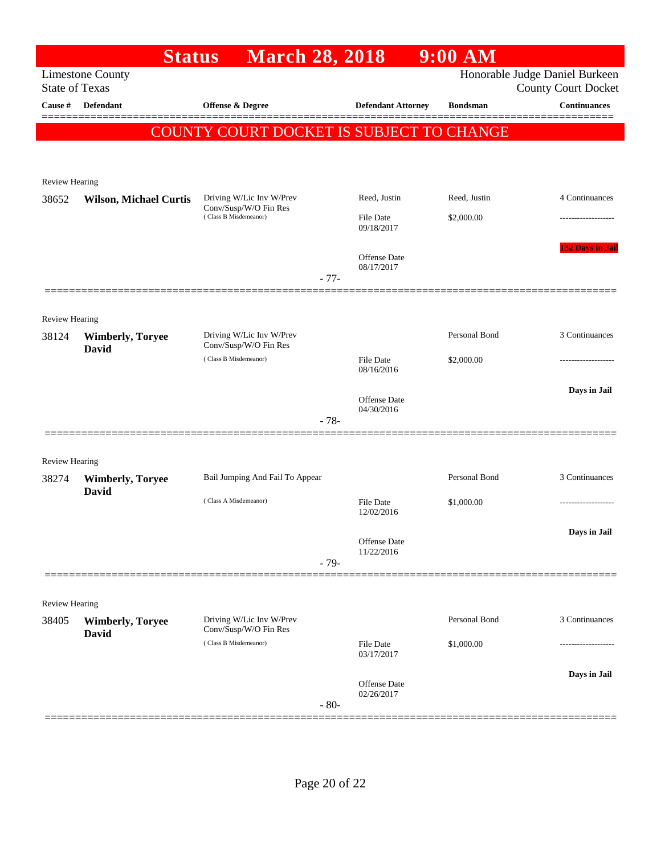|                                  | <b>Status</b>                           | <b>March 28, 2018</b>                             |                                | $9:00$ AM       |                                                   |
|----------------------------------|-----------------------------------------|---------------------------------------------------|--------------------------------|-----------------|---------------------------------------------------|
|                                  | <b>Limestone County</b>                 |                                                   |                                |                 | Honorable Judge Daniel Burkeen                    |
| <b>State of Texas</b><br>Cause # | <b>Defendant</b>                        | <b>Offense &amp; Degree</b>                       |                                | <b>Bondsman</b> | <b>County Court Docket</b><br><b>Continuances</b> |
|                                  |                                         |                                                   | <b>Defendant Attorney</b>      |                 |                                                   |
|                                  |                                         | COUNTY COURT DOCKET IS SUBJECT TO CHANGE          |                                |                 |                                                   |
|                                  |                                         |                                                   |                                |                 |                                                   |
|                                  |                                         |                                                   |                                |                 |                                                   |
| Review Hearing<br>38652          | <b>Wilson, Michael Curtis</b>           | Driving W/Lic Inv W/Prev                          | Reed, Justin                   | Reed, Justin    | 4 Continuances                                    |
|                                  |                                         | Conv/Susp/W/O Fin Res<br>(Class B Misdemeanor)    | <b>File Date</b>               | \$2,000.00      | -----------------                                 |
|                                  |                                         |                                                   | 09/18/2017                     |                 |                                                   |
|                                  |                                         |                                                   |                                |                 | <b>132 Days in Jail</b>                           |
|                                  |                                         |                                                   | Offense Date<br>08/17/2017     |                 |                                                   |
|                                  |                                         |                                                   | $-77-$                         |                 |                                                   |
|                                  |                                         |                                                   |                                |                 |                                                   |
| Review Hearing                   |                                         |                                                   |                                |                 |                                                   |
| 38124                            | <b>Wimberly, Toryee</b><br><b>David</b> | Driving W/Lic Inv W/Prev<br>Conv/Susp/W/O Fin Res |                                | Personal Bond   | 3 Continuances                                    |
|                                  |                                         | (Class B Misdemeanor)                             | <b>File Date</b><br>08/16/2016 | \$2,000.00      | --------------                                    |
|                                  |                                         |                                                   |                                |                 |                                                   |
|                                  |                                         |                                                   | Offense Date                   |                 | Days in Jail                                      |
|                                  |                                         |                                                   | 04/30/2016<br>$-78-$           |                 |                                                   |
|                                  |                                         |                                                   |                                |                 |                                                   |
| Review Hearing                   |                                         |                                                   |                                |                 |                                                   |
| 38274                            | <b>Wimberly, Toryee</b>                 | Bail Jumping And Fail To Appear                   |                                | Personal Bond   | 3 Continuances                                    |
|                                  | <b>David</b>                            | (Class A Misdemeanor)                             | <b>File Date</b>               | \$1,000.00      |                                                   |
|                                  |                                         |                                                   | 12/02/2016                     |                 |                                                   |
|                                  |                                         |                                                   | Offense Date                   |                 | Days in Jail                                      |
|                                  |                                         |                                                   | 11/22/2016                     |                 |                                                   |
|                                  |                                         |                                                   | $-79-$                         |                 |                                                   |
|                                  |                                         |                                                   |                                |                 |                                                   |
| <b>Review Hearing</b>            |                                         |                                                   |                                |                 |                                                   |
| 38405                            | <b>Wimberly, Toryee</b><br><b>David</b> | Driving W/Lic Inv W/Prev<br>Conv/Susp/W/O Fin Res |                                | Personal Bond   | 3 Continuances                                    |
|                                  |                                         | (Class B Misdemeanor)                             | <b>File Date</b><br>03/17/2017 | \$1,000.00      |                                                   |
|                                  |                                         |                                                   |                                |                 | Days in Jail                                      |
|                                  |                                         |                                                   | Offense Date<br>02/26/2017     |                 |                                                   |
|                                  |                                         |                                                   | $-80-$                         |                 |                                                   |
|                                  |                                         |                                                   |                                |                 |                                                   |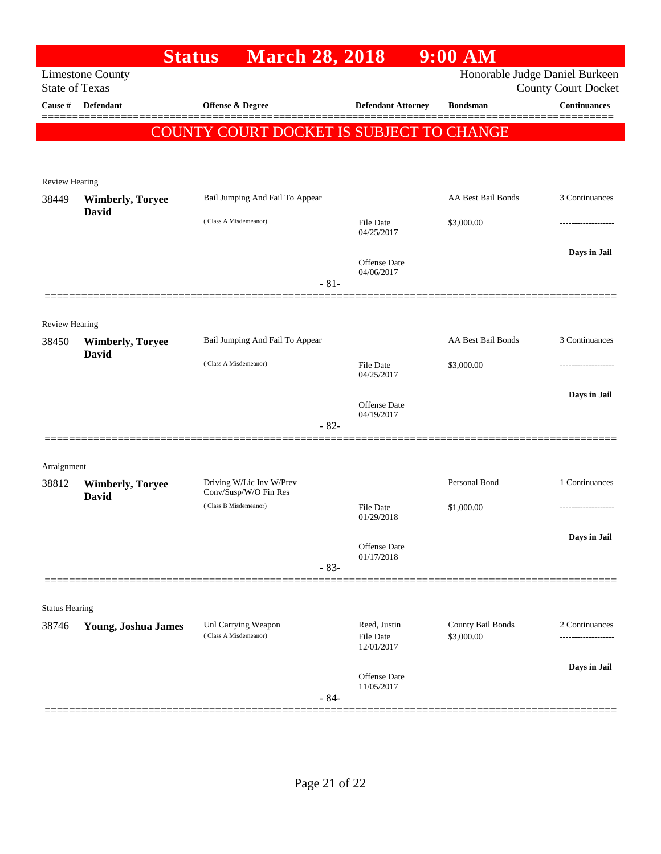|                       |                                  | <b>March 28, 2018</b><br><b>Status</b>         |                                | $9:00$ AM          |                                                   |
|-----------------------|----------------------------------|------------------------------------------------|--------------------------------|--------------------|---------------------------------------------------|
| <b>State of Texas</b> | <b>Limestone County</b>          |                                                |                                |                    | Honorable Judge Daniel Burkeen                    |
| Cause #               | Defendant                        | Offense & Degree                               | <b>Defendant Attorney</b>      | <b>Bondsman</b>    | <b>County Court Docket</b><br><b>Continuances</b> |
|                       |                                  |                                                |                                |                    |                                                   |
|                       |                                  | COUNTY COURT DOCKET IS SUBJECT TO CHANGE       |                                |                    |                                                   |
|                       |                                  |                                                |                                |                    |                                                   |
| <b>Review Hearing</b> |                                  |                                                |                                |                    |                                                   |
| 38449                 | <b>Wimberly, Toryee</b>          | Bail Jumping And Fail To Appear                |                                | AA Best Bail Bonds | 3 Continuances                                    |
|                       | David                            | (Class A Misdemeanor)                          | <b>File Date</b>               | \$3,000.00         |                                                   |
|                       |                                  |                                                | 04/25/2017                     |                    |                                                   |
|                       |                                  |                                                | <b>Offense Date</b>            |                    | Days in Jail                                      |
|                       |                                  | $-81-$                                         | 04/06/2017                     |                    |                                                   |
|                       |                                  |                                                |                                |                    |                                                   |
| Review Hearing        |                                  |                                                |                                |                    |                                                   |
| 38450                 | <b>Wimberly, Toryee</b><br>David | Bail Jumping And Fail To Appear                |                                | AA Best Bail Bonds | 3 Continuances                                    |
|                       |                                  | (Class A Misdemeanor)                          | <b>File Date</b>               | \$3,000.00         |                                                   |
|                       |                                  |                                                | 04/25/2017                     |                    |                                                   |
|                       |                                  |                                                | Offense Date                   |                    | Days in Jail                                      |
|                       |                                  | $-82-$                                         | 04/19/2017                     |                    |                                                   |
|                       |                                  |                                                |                                |                    |                                                   |
| Arraignment           |                                  |                                                |                                |                    |                                                   |
| 38812                 | <b>Wimberly, Toryee</b>          | Driving W/Lic Inv W/Prev                       |                                | Personal Bond      | 1 Continuances                                    |
|                       | <b>David</b>                     | Conv/Susp/W/O Fin Res<br>(Class B Misdemeanor) | File Date                      | \$1,000.00         |                                                   |
|                       |                                  |                                                | 01/29/2018                     |                    |                                                   |
|                       |                                  |                                                | Offense Date                   |                    | Days in Jail                                      |
|                       |                                  | $-83-$                                         | 01/17/2018                     |                    |                                                   |
|                       |                                  |                                                |                                |                    |                                                   |
| <b>Status Hearing</b> |                                  |                                                |                                |                    |                                                   |
| 38746                 | <b>Young, Joshua James</b>       | Unl Carrying Weapon                            | Reed, Justin                   | County Bail Bonds  | 2 Continuances                                    |
|                       |                                  | (Class A Misdemeanor)                          | <b>File Date</b><br>12/01/2017 | \$3,000.00         |                                                   |
|                       |                                  |                                                |                                |                    | Days in Jail                                      |
|                       |                                  |                                                | Offense Date<br>11/05/2017     |                    |                                                   |
|                       |                                  | $-84-$                                         |                                |                    |                                                   |